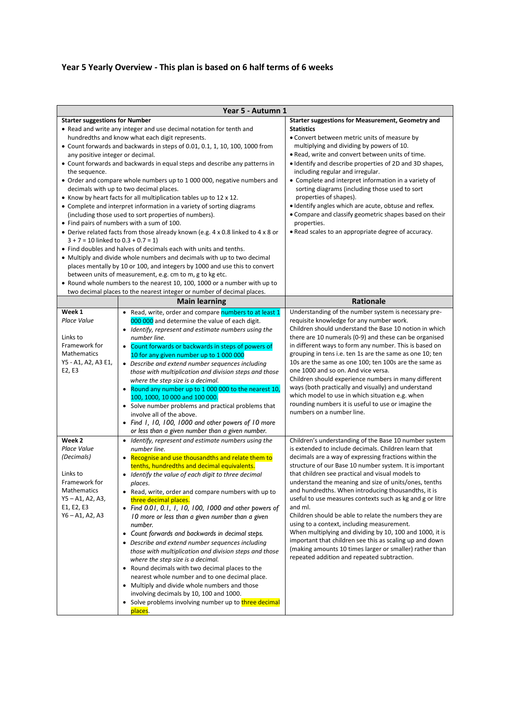## **Year 5 Yearly Overview - This plan is based on 6 half terms of 6 weeks**

|                                                                                                                                      | Year 5 - Autumn 1                                                                                                                                                                                                                                                                                                                                                                                                                                                                                                                                                                                                                                                                                                                                                                                                                                                                                                                                                                                                                                                                                                                                                                                    |                                                                                                                                                                                                                                                                                                                                                                                                                                                                                                                                                                                                                                                                                                                                                                                                                        |
|--------------------------------------------------------------------------------------------------------------------------------------|------------------------------------------------------------------------------------------------------------------------------------------------------------------------------------------------------------------------------------------------------------------------------------------------------------------------------------------------------------------------------------------------------------------------------------------------------------------------------------------------------------------------------------------------------------------------------------------------------------------------------------------------------------------------------------------------------------------------------------------------------------------------------------------------------------------------------------------------------------------------------------------------------------------------------------------------------------------------------------------------------------------------------------------------------------------------------------------------------------------------------------------------------------------------------------------------------|------------------------------------------------------------------------------------------------------------------------------------------------------------------------------------------------------------------------------------------------------------------------------------------------------------------------------------------------------------------------------------------------------------------------------------------------------------------------------------------------------------------------------------------------------------------------------------------------------------------------------------------------------------------------------------------------------------------------------------------------------------------------------------------------------------------------|
| <b>Starter suggestions for Number</b><br>any positive integer or decimal.<br>the sequence.<br>$3 + 7 = 10$ linked to $0.3 + 0.7 = 1$ | • Read and write any integer and use decimal notation for tenth and<br>hundredths and know what each digit represents.<br>• Count forwards and backwards in steps of 0.01, 0.1, 1, 10, 100, 1000 from<br>• Count forwards and backwards in equal steps and describe any patterns in<br>• Order and compare whole numbers up to 1 000 000, negative numbers and<br>decimals with up to two decimal places.<br>• Know by heart facts for all multiplication tables up to 12 x 12.<br>• Complete and interpret information in a variety of sorting diagrams<br>(including those used to sort properties of numbers).<br>• Find pairs of numbers with a sum of 100.<br>• Derive related facts from those already known (e.g. 4 x 0.8 linked to 4 x 8 or<br>• Find doubles and halves of decimals each with units and tenths.<br>• Multiply and divide whole numbers and decimals with up to two decimal<br>places mentally by 10 or 100, and integers by 1000 and use this to convert<br>between units of measurement, e.g. cm to m, g to kg etc.<br>• Round whole numbers to the nearest 10, 100, 1000 or a number with up to<br>two decimal places to the nearest integer or number of decimal places. | <b>Starter suggestions for Measurement, Geometry and</b><br><b>Statistics</b><br>• Convert between metric units of measure by<br>multiplying and dividing by powers of 10.<br>. Read, write and convert between units of time.<br>. Identify and describe properties of 2D and 3D shapes,<br>including regular and irregular.<br>• Complete and interpret information in a variety of<br>sorting diagrams (including those used to sort<br>properties of shapes).<br>· Identify angles which are acute, obtuse and reflex.<br>• Compare and classify geometric shapes based on their<br>properties.<br>• Read scales to an appropriate degree of accuracy.                                                                                                                                                             |
|                                                                                                                                      | <b>Main learning</b>                                                                                                                                                                                                                                                                                                                                                                                                                                                                                                                                                                                                                                                                                                                                                                                                                                                                                                                                                                                                                                                                                                                                                                                 | <b>Rationale</b>                                                                                                                                                                                                                                                                                                                                                                                                                                                                                                                                                                                                                                                                                                                                                                                                       |
| Week 1<br>Place Value<br>Links to<br>Framework for<br>Mathematics<br>Y5 - A1, A2, A3 E1,<br>E2, E3                                   | • Read, write, order and compare numbers to at least 1<br>000 000 and determine the value of each digit.<br>• Identify, represent and estimate numbers using the<br>number line.<br>• Count forwards or backwards in steps of powers of<br>10 for any given number up to 1 000 000<br>• Describe and extend number sequences including<br>those with multiplication and division steps and those<br>where the step size is a decimal.<br>• Round any number up to 1 000 000 to the nearest 10,<br>100, 1000, 10 000 and 100 000.<br>• Solve number problems and practical problems that<br>involve all of the above.<br>• Find I, 10, 100, 1000 and other powers of 10 more<br>or less than a given number than a given number.                                                                                                                                                                                                                                                                                                                                                                                                                                                                      | Understanding of the number system is necessary pre-<br>requisite knowledge for any number work.<br>Children should understand the Base 10 notion in which<br>there are 10 numerals (0-9) and these can be organised<br>in different ways to form any number. This is based on<br>grouping in tens i.e. ten 1s are the same as one 10; ten<br>10s are the same as one 100; ten 100s are the same as<br>one 1000 and so on. And vice versa.<br>Children should experience numbers in many different<br>ways (both practically and visually) and understand<br>which model to use in which situation e.g. when<br>rounding numbers it is useful to use or imagine the<br>numbers on a number line.                                                                                                                       |
| Week 2<br>Place Value<br>(Decimals)<br>Links to<br>Framework for<br>Mathematics<br>Y5 - A1, A2, A3,<br>E1, E2, E3<br>Y6 - A1, A2, A3 | • Identify, represent and estimate numbers using the<br>number line.<br>• Recognise and use thousandths and relate them to<br>tenths, hundredths and decimal equivalents.<br>• Identify the value of each digit to three decimal<br>places.<br>• Read, write, order and compare numbers with up to<br>three decimal places.<br>• Find 0.01, 0.1, 1, 10, 100, 1000 and other powers of<br>10 more or less than a given number than a given<br>number.<br>• Count forwards and backwards in decimal steps.<br>• Describe and extend number sequences including<br>those with multiplication and division steps and those<br>where the step size is a decimal.<br>• Round decimals with two decimal places to the<br>nearest whole number and to one decimal place.<br>• Multiply and divide whole numbers and those<br>involving decimals by 10, 100 and 1000.<br>• Solve problems involving number up to three decimal<br>places.                                                                                                                                                                                                                                                                     | Children's understanding of the Base 10 number system<br>is extended to include decimals. Children learn that<br>decimals are a way of expressing fractions within the<br>structure of our Base 10 number system. It is important<br>that children see practical and visual models to<br>understand the meaning and size of units/ones, tenths<br>and hundredths. When introducing thousandths, it is<br>useful to use measures contexts such as kg and g or litre<br>and ml.<br>Children should be able to relate the numbers they are<br>using to a context, including measurement.<br>When multiplying and dividing by 10, 100 and 1000, it is<br>important that children see this as scaling up and down<br>(making amounts 10 times larger or smaller) rather than<br>repeated addition and repeated subtraction. |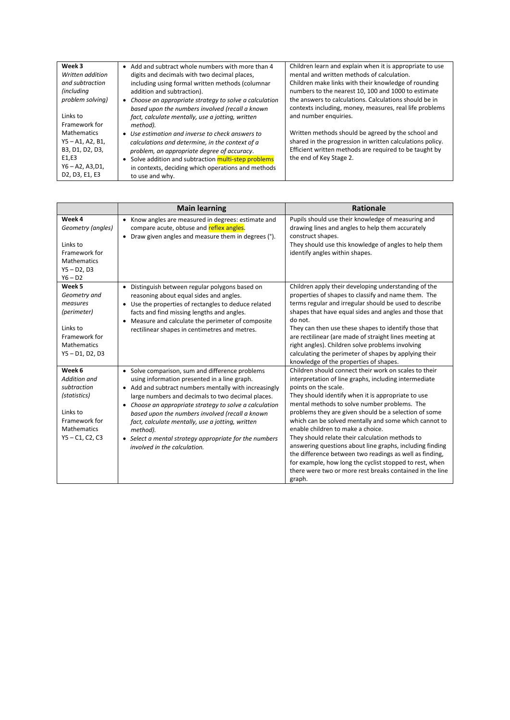| Week 3             | • Add and subtract whole numbers with more than 4       | Children learn and explain when it is appropriate to use  |
|--------------------|---------------------------------------------------------|-----------------------------------------------------------|
| Written addition   | digits and decimals with two decimal places,            | mental and written methods of calculation.                |
| and subtraction    | including using formal written methods (columnar        | Children make links with their knowledge of rounding      |
| <i>(including)</i> | addition and subtraction).                              | numbers to the nearest 10, 100 and 1000 to estimate       |
| problem solving)   | • Choose an appropriate strategy to solve a calculation | the answers to calculations. Calculations should be in    |
|                    | based upon the numbers involved (recall a known         | contexts including, money, measures, real life problems   |
| Links to           | fact, calculate mentally, use a jotting, written        | and number enquiries.                                     |
| Framework for      | method).                                                |                                                           |
| <b>Mathematics</b> | • Use estimation and inverse to check answers to        | Written methods should be agreed by the school and        |
| $Y5 - A1, A2, B1,$ | calculations and determine, in the context of a         | shared in the progression in written calculations policy. |
| B3, D1, D2, D3,    | problem, an appropriate degree of accuracy.             | Efficient written methods are required to be taught by    |
| E1,E3              | Solve addition and subtraction multi-step problems      | the end of Key Stage 2.                                   |
| $Y6 - A2, A3, D1,$ | in contexts, deciding which operations and methods      |                                                           |
| D2, D3, E1, E3     | to use and why.                                         |                                                           |

|                                                                                                                                      | <b>Main learning</b>                                                                                                                                                                                                                                                                                                                                                                                                                                                                             | <b>Rationale</b>                                                                                                                                                                                                                                                                                                                                                                                                                                                                                                                                                                                                                                                                                               |
|--------------------------------------------------------------------------------------------------------------------------------------|--------------------------------------------------------------------------------------------------------------------------------------------------------------------------------------------------------------------------------------------------------------------------------------------------------------------------------------------------------------------------------------------------------------------------------------------------------------------------------------------------|----------------------------------------------------------------------------------------------------------------------------------------------------------------------------------------------------------------------------------------------------------------------------------------------------------------------------------------------------------------------------------------------------------------------------------------------------------------------------------------------------------------------------------------------------------------------------------------------------------------------------------------------------------------------------------------------------------------|
| Week 4<br>Geometry (angles)<br>Links to<br>Framework for<br><b>Mathematics</b><br>$Y5 - D2, D3$<br>$Y6 - D2$                         | Know angles are measured in degrees: estimate and<br>$\bullet$<br>compare acute, obtuse and reflex angles.<br>Draw given angles and measure them in degrees (°).                                                                                                                                                                                                                                                                                                                                 | Pupils should use their knowledge of measuring and<br>drawing lines and angles to help them accurately<br>construct shapes.<br>They should use this knowledge of angles to help them<br>identify angles within shapes.                                                                                                                                                                                                                                                                                                                                                                                                                                                                                         |
| Week 5<br>Geometry and<br>measures<br>(perimeter)<br>Links to<br>Framework for<br><b>Mathematics</b><br>$Y5 - D1, D2, D3$            | Distinguish between regular polygons based on<br>$\bullet$<br>reasoning about equal sides and angles.<br>Use the properties of rectangles to deduce related<br>facts and find missing lengths and angles.<br>Measure and calculate the perimeter of composite<br>rectilinear shapes in centimetres and metres.                                                                                                                                                                                   | Children apply their developing understanding of the<br>properties of shapes to classify and name them. The<br>terms regular and irregular should be used to describe<br>shapes that have equal sides and angles and those that<br>do not.<br>They can then use these shapes to identify those that<br>are rectilinear (are made of straight lines meeting at<br>right angles). Children solve problems involving<br>calculating the perimeter of shapes by applying their<br>knowledge of the properties of shapes.                                                                                                                                                                                           |
| Week 6<br><b>Addition and</b><br>subtraction<br>(statistics)<br>Links to<br>Framework for<br><b>Mathematics</b><br>$Y5 - C1, C2, C3$ | • Solve comparison, sum and difference problems<br>using information presented in a line graph.<br>• Add and subtract numbers mentally with increasingly<br>large numbers and decimals to two decimal places.<br>Choose an appropriate strategy to solve a calculation<br>$\bullet$<br>based upon the numbers involved (recall a known<br>fact, calculate mentally, use a jotting, written<br>method).<br>• Select a mental strategy appropriate for the numbers<br>involved in the calculation. | Children should connect their work on scales to their<br>interpretation of line graphs, including intermediate<br>points on the scale.<br>They should identify when it is appropriate to use<br>mental methods to solve number problems. The<br>problems they are given should be a selection of some<br>which can be solved mentally and some which cannot to<br>enable children to make a choice.<br>They should relate their calculation methods to<br>answering questions about line graphs, including finding<br>the difference between two readings as well as finding,<br>for example, how long the cyclist stopped to rest, when<br>there were two or more rest breaks contained in the line<br>graph. |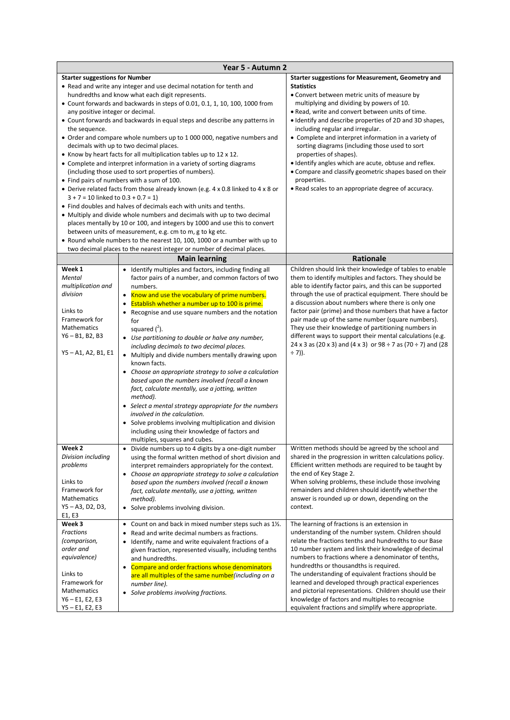|                                                                                                                                                  | Year 5 - Autumn 2                                                                                                                                                                                                                                                                                                                                                                                                                                                                                                                                                                                                                                                                                                                                                                                                                                                                                                                                                                                                                                                                                                                                                                                                            |                                                                                                                                                                                                                                                                                                                                                                                                                                                                                                                                                                                                                                                                                |
|--------------------------------------------------------------------------------------------------------------------------------------------------|------------------------------------------------------------------------------------------------------------------------------------------------------------------------------------------------------------------------------------------------------------------------------------------------------------------------------------------------------------------------------------------------------------------------------------------------------------------------------------------------------------------------------------------------------------------------------------------------------------------------------------------------------------------------------------------------------------------------------------------------------------------------------------------------------------------------------------------------------------------------------------------------------------------------------------------------------------------------------------------------------------------------------------------------------------------------------------------------------------------------------------------------------------------------------------------------------------------------------|--------------------------------------------------------------------------------------------------------------------------------------------------------------------------------------------------------------------------------------------------------------------------------------------------------------------------------------------------------------------------------------------------------------------------------------------------------------------------------------------------------------------------------------------------------------------------------------------------------------------------------------------------------------------------------|
| <b>Starter suggestions for Number</b><br>any positive integer or decimal.<br>the sequence.<br>$3 + 7 = 10$ linked to $0.3 + 0.7 = 1$             | • Read and write any integer and use decimal notation for tenth and<br>hundredths and know what each digit represents.<br>• Count forwards and backwards in steps of 0.01, 0.1, 1, 10, 100, 1000 from<br>• Count forwards and backwards in equal steps and describe any patterns in<br>• Order and compare whole numbers up to 1 000 000, negative numbers and<br>decimals with up to two decimal places.<br>• Know by heart facts for all multiplication tables up to 12 x 12.<br>• Complete and interpret information in a variety of sorting diagrams<br>(including those used to sort properties of numbers).<br>• Find pairs of numbers with a sum of 100.<br>• Derive related facts from those already known (e.g. 4 x 0.8 linked to 4 x 8 or<br>• Find doubles and halves of decimals each with units and tenths.<br>• Multiply and divide whole numbers and decimals with up to two decimal<br>places mentally by 10 or 100, and integers by 1000 and use this to convert<br>between units of measurement, e.g. cm to m, g to kg etc.<br>• Round whole numbers to the nearest 10, 100, 1000 or a number with up to<br>two decimal places to the nearest integer or number of decimal places.<br><b>Main learning</b> | <b>Starter suggestions for Measurement, Geometry and</b><br><b>Statistics</b><br>• Convert between metric units of measure by<br>multiplying and dividing by powers of 10.<br>• Read, write and convert between units of time.<br>• Identify and describe properties of 2D and 3D shapes,<br>including regular and irregular.<br>• Complete and interpret information in a variety of<br>sorting diagrams (including those used to sort<br>properties of shapes).<br>. Identify angles which are acute, obtuse and reflex.<br>• Compare and classify geometric shapes based on their<br>properties.<br>• Read scales to an appropriate degree of accuracy.<br><b>Rationale</b> |
| Week 1                                                                                                                                           |                                                                                                                                                                                                                                                                                                                                                                                                                                                                                                                                                                                                                                                                                                                                                                                                                                                                                                                                                                                                                                                                                                                                                                                                                              | Children should link their knowledge of tables to enable                                                                                                                                                                                                                                                                                                                                                                                                                                                                                                                                                                                                                       |
| <b>Mental</b><br>multiplication and<br>division<br>Links to<br>Framework for<br><b>Mathematics</b><br>$Y6 - B1, B2, B3$<br>$Y5 - A1, A2, B1, E1$ | • Identify multiples and factors, including finding all<br>factor pairs of a number, and common factors of two<br>numbers.<br>• Know and use the vocabulary of prime numbers.<br>Establish whether a number up to 100 is prime.<br>• Recognise and use square numbers and the notation<br>for<br>squared $(2)$ .<br>• Use partitioning to double or halve any number,<br>including decimals to two decimal places.<br>• Multiply and divide numbers mentally drawing upon<br>known facts.<br>• Choose an appropriate strategy to solve a calculation<br>based upon the numbers involved (recall a known<br>fact, calculate mentally, use a jotting, written<br>method).<br>• Select a mental strategy appropriate for the numbers<br>involved in the calculation.<br>• Solve problems involving multiplication and division<br>including using their knowledge of factors and<br>multiples, squares and cubes.                                                                                                                                                                                                                                                                                                               | them to identify multiples and factors. They should be<br>able to identify factor pairs, and this can be supported<br>through the use of practical equipment. There should be<br>a discussion about numbers where there is only one<br>factor pair (prime) and those numbers that have a factor<br>pair made up of the same number (square numbers).<br>They use their knowledge of partitioning numbers in<br>different ways to support their mental calculations (e.g.<br>24 x 3 as (20 x 3) and (4 x 3) or 98 ÷ 7 as (70 ÷ 7) and (28<br>$\div$ 7)).                                                                                                                        |
| Week <sub>2</sub><br>Division including                                                                                                          | Divide numbers up to 4 digits by a one-digit number<br>$\bullet$<br>using the formal written method of short division and                                                                                                                                                                                                                                                                                                                                                                                                                                                                                                                                                                                                                                                                                                                                                                                                                                                                                                                                                                                                                                                                                                    | Written methods should be agreed by the school and<br>shared in the progression in written calculations policy.                                                                                                                                                                                                                                                                                                                                                                                                                                                                                                                                                                |
| problems<br>Links to<br>Framework for<br><b>Mathematics</b><br>Y5-A3, D2, D3,<br>E1, E3                                                          | interpret remainders appropriately for the context.<br>Choose an appropriate strategy to solve a calculation<br>٠<br>based upon the numbers involved (recall a known<br>fact, calculate mentally, use a jotting, written<br>method).<br>• Solve problems involving division.                                                                                                                                                                                                                                                                                                                                                                                                                                                                                                                                                                                                                                                                                                                                                                                                                                                                                                                                                 | Efficient written methods are required to be taught by<br>the end of Key Stage 2.<br>When solving problems, these include those involving<br>remainders and children should identify whether the<br>answer is rounded up or down, depending on the<br>context.                                                                                                                                                                                                                                                                                                                                                                                                                 |
| Week 3                                                                                                                                           | • Count on and back in mixed number steps such as 1½.                                                                                                                                                                                                                                                                                                                                                                                                                                                                                                                                                                                                                                                                                                                                                                                                                                                                                                                                                                                                                                                                                                                                                                        | The learning of fractions is an extension in                                                                                                                                                                                                                                                                                                                                                                                                                                                                                                                                                                                                                                   |
| Fractions<br>(comparison,<br>order and<br>equivalence)<br>Links to<br>Framework for                                                              | Read and write decimal numbers as fractions.<br>Identify, name and write equivalent fractions of a<br>٠<br>given fraction, represented visually, including tenths<br>and hundredths.<br>• Compare and order fractions whose denominators<br>are all multiples of the same number (including on a<br>number line).                                                                                                                                                                                                                                                                                                                                                                                                                                                                                                                                                                                                                                                                                                                                                                                                                                                                                                            | understanding of the number system. Children should<br>relate the fractions tenths and hundredths to our Base<br>10 number system and link their knowledge of decimal<br>numbers to fractions where a denominator of tenths,<br>hundredths or thousandths is required.<br>The understanding of equivalent fractions should be<br>learned and developed through practical experiences                                                                                                                                                                                                                                                                                           |
| Mathematics<br>$Y6 - E1, E2, E3$<br>$Y5 - E1, E2, E3$                                                                                            | • Solve problems involving fractions.                                                                                                                                                                                                                                                                                                                                                                                                                                                                                                                                                                                                                                                                                                                                                                                                                                                                                                                                                                                                                                                                                                                                                                                        | and pictorial representations. Children should use their<br>knowledge of factors and multiples to recognise<br>equivalent fractions and simplify where appropriate.                                                                                                                                                                                                                                                                                                                                                                                                                                                                                                            |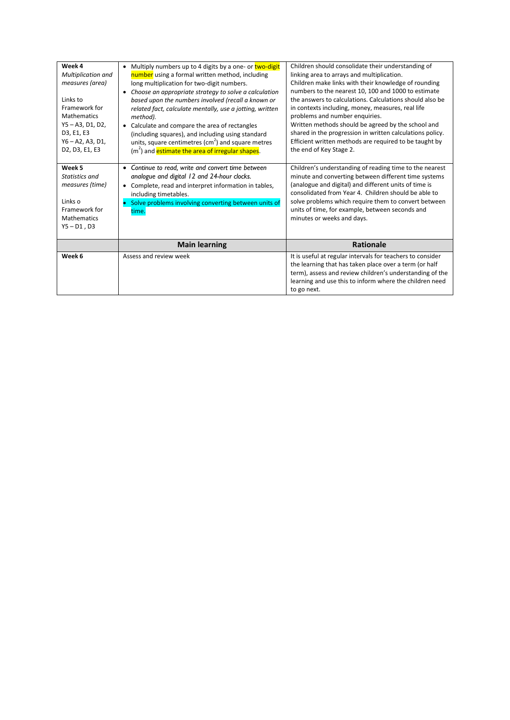| Week 4<br><b>Multiplication and</b><br>measures (area)<br>Links to<br>Framework for<br><b>Mathematics</b><br>Y5-A3, D1, D2,<br>D3, E1, E3<br>$Y6 - A2, A3, D1,$<br>D2, D3, E1, E3 | Multiply numbers up to 4 digits by a one- or two-digit<br>$\bullet$<br>number using a formal written method, including<br>long multiplication for two-digit numbers.<br>Choose an appropriate strategy to solve a calculation<br>$\bullet$<br>based upon the numbers involved (recall a known or<br>related fact, calculate mentally, use a jotting, written<br>method).<br>Calculate and compare the area of rectangles<br>(including squares), and including using standard<br>units, square centimetres $\text{(cm}^2\text{)}$ and square metres<br>(m <sup>2</sup> ) and estimate the area of irregular shapes. | Children should consolidate their understanding of<br>linking area to arrays and multiplication.<br>Children make links with their knowledge of rounding<br>numbers to the nearest 10, 100 and 1000 to estimate<br>the answers to calculations. Calculations should also be<br>in contexts including, money, measures, real life<br>problems and number enquiries.<br>Written methods should be agreed by the school and<br>shared in the progression in written calculations policy.<br>Efficient written methods are required to be taught by<br>the end of Key Stage 2. |
|-----------------------------------------------------------------------------------------------------------------------------------------------------------------------------------|---------------------------------------------------------------------------------------------------------------------------------------------------------------------------------------------------------------------------------------------------------------------------------------------------------------------------------------------------------------------------------------------------------------------------------------------------------------------------------------------------------------------------------------------------------------------------------------------------------------------|----------------------------------------------------------------------------------------------------------------------------------------------------------------------------------------------------------------------------------------------------------------------------------------------------------------------------------------------------------------------------------------------------------------------------------------------------------------------------------------------------------------------------------------------------------------------------|
| Week 5<br>Statistics and<br>measures (time)<br>Links o<br>Framework for<br>Mathematics<br>$Y5 - D1, D3$                                                                           | Continue to read, write and convert time between<br>$\bullet$<br>analogue and digital 12 and 24-hour clocks.<br>Complete, read and interpret information in tables,<br>including timetables.<br>Solve problems involving converting between units of<br>time.                                                                                                                                                                                                                                                                                                                                                       | Children's understanding of reading time to the nearest<br>minute and converting between different time systems<br>(analogue and digital) and different units of time is<br>consolidated from Year 4. Children should be able to<br>solve problems which require them to convert between<br>units of time, for example, between seconds and<br>minutes or weeks and days.                                                                                                                                                                                                  |
|                                                                                                                                                                                   | <b>Main learning</b>                                                                                                                                                                                                                                                                                                                                                                                                                                                                                                                                                                                                | <b>Rationale</b>                                                                                                                                                                                                                                                                                                                                                                                                                                                                                                                                                           |
| Week 6                                                                                                                                                                            | Assess and review week                                                                                                                                                                                                                                                                                                                                                                                                                                                                                                                                                                                              | It is useful at regular intervals for teachers to consider<br>the learning that has taken place over a term (or half<br>term), assess and review children's understanding of the<br>learning and use this to inform where the children need<br>to go next.                                                                                                                                                                                                                                                                                                                 |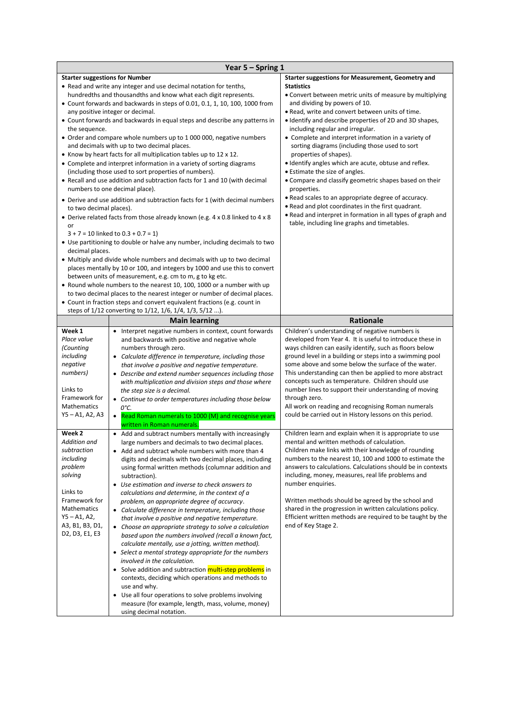|                                       | Year 5 - Spring 1                                                                                              |                                                                                                                         |
|---------------------------------------|----------------------------------------------------------------------------------------------------------------|-------------------------------------------------------------------------------------------------------------------------|
| <b>Starter suggestions for Number</b> |                                                                                                                | <b>Starter suggestions for Measurement, Geometry and</b>                                                                |
|                                       | • Read and write any integer and use decimal notation for tenths,                                              | <b>Statistics</b>                                                                                                       |
|                                       | hundredths and thousandths and know what each digit represents.                                                | • Convert between metric units of measure by multiplying                                                                |
|                                       | • Count forwards and backwards in steps of 0.01, 0.1, 1, 10, 100, 1000 from                                    | and dividing by powers of 10.                                                                                           |
|                                       | any positive integer or decimal.<br>• Count forwards and backwards in equal steps and describe any patterns in | • Read, write and convert between units of time.<br>• Identify and describe properties of 2D and 3D shapes,             |
| the sequence.                         |                                                                                                                | including regular and irregular.                                                                                        |
|                                       | • Order and compare whole numbers up to 1 000 000, negative numbers                                            | • Complete and interpret information in a variety of                                                                    |
|                                       | and decimals with up to two decimal places.                                                                    | sorting diagrams (including those used to sort                                                                          |
|                                       | • Know by heart facts for all multiplication tables up to 12 x 12.                                             | properties of shapes).                                                                                                  |
|                                       | • Complete and interpret information in a variety of sorting diagrams                                          | • Identify angles which are acute, obtuse and reflex.                                                                   |
|                                       | (including those used to sort properties of numbers).                                                          | • Estimate the size of angles.                                                                                          |
|                                       | • Recall and use addition and subtraction facts for 1 and 10 (with decimal                                     | • Compare and classify geometric shapes based on their                                                                  |
|                                       | numbers to one decimal place).                                                                                 | properties.                                                                                                             |
|                                       | • Derive and use addition and subtraction facts for 1 (with decimal numbers                                    | • Read scales to an appropriate degree of accuracy.<br>. Read and plot coordinates in the first quadrant.               |
| to two decimal places).               |                                                                                                                | . Read and interpret in formation in all types of graph and                                                             |
|                                       | • Derive related facts from those already known (e.g. 4 x 0.8 linked to 4 x 8                                  | table, including line graphs and timetables.                                                                            |
| or                                    | $3 + 7 = 10$ linked to $0.3 + 0.7 = 1$                                                                         |                                                                                                                         |
|                                       | • Use partitioning to double or halve any number, including decimals to two                                    |                                                                                                                         |
| decimal places.                       |                                                                                                                |                                                                                                                         |
|                                       | • Multiply and divide whole numbers and decimals with up to two decimal                                        |                                                                                                                         |
|                                       | places mentally by 10 or 100, and integers by 1000 and use this to convert                                     |                                                                                                                         |
|                                       | between units of measurement, e.g. cm to m, g to kg etc.                                                       |                                                                                                                         |
|                                       | • Round whole numbers to the nearest 10, 100, 1000 or a number with up                                         |                                                                                                                         |
|                                       | to two decimal places to the nearest integer or number of decimal places.                                      |                                                                                                                         |
|                                       | • Count in fraction steps and convert equivalent fractions (e.g. count in                                      |                                                                                                                         |
|                                       | steps of 1/12 converting to 1/12, 1/6, 1/4, 1/3, 5/12 ).                                                       |                                                                                                                         |
|                                       | <b>Main learning</b>                                                                                           | Rationale                                                                                                               |
| Week 1<br>Place value                 | • Interpret negative numbers in context, count forwards                                                        | Children's understanding of negative numbers is<br>developed from Year 4. It is useful to introduce these in            |
| (Counting                             | and backwards with positive and negative whole<br>numbers through zero.                                        | ways children can easily identify, such as floors below                                                                 |
| including                             | • Calculate difference in temperature, including those                                                         | ground level in a building or steps into a swimming pool                                                                |
| negative                              | that involve a positive and negative temperature.                                                              | some above and some below the surface of the water.                                                                     |
| numbers)                              | • Describe and extend number sequences including those                                                         | This understanding can then be applied to more abstract                                                                 |
|                                       | with multiplication and division steps and those where                                                         | concepts such as temperature. Children should use                                                                       |
| Links to                              | the step size is a decimal.                                                                                    | number lines to support their understanding of moving                                                                   |
| Framework for<br><b>Mathematics</b>   | • Continue to order temperatures including those below                                                         | through zero.<br>All work on reading and recognising Roman numerals                                                     |
| $Y5 - A1, A2, A3$                     | 0°С.<br>• Read Roman numerals to 1000 (M) and recognise years                                                  | could be carried out in History lessons on this period.                                                                 |
|                                       | written in Roman numerals.                                                                                     |                                                                                                                         |
| Week 2                                | • Add and subtract numbers mentally with increasingly                                                          | Children learn and explain when it is appropriate to use                                                                |
| Addition and                          | large numbers and decimals to two decimal places.                                                              | mental and written methods of calculation.                                                                              |
| subtraction                           | • Add and subtract whole numbers with more than 4                                                              | Children make links with their knowledge of rounding                                                                    |
| including                             | digits and decimals with two decimal places, including                                                         | numbers to the nearest 10, 100 and 1000 to estimate the                                                                 |
| problem                               | using formal written methods (columnar addition and                                                            | answers to calculations. Calculations should be in contexts                                                             |
| solving                               | subtraction).                                                                                                  | including, money, measures, real life problems and                                                                      |
| Links to                              | • Use estimation and inverse to check answers to                                                               | number enquiries.                                                                                                       |
| Framework for                         | calculations and determine, in the context of a                                                                |                                                                                                                         |
| <b>Mathematics</b>                    |                                                                                                                |                                                                                                                         |
|                                       | problem, an appropriate degree of accuracy.                                                                    | Written methods should be agreed by the school and                                                                      |
| $Y5 - A1, A2,$                        | • Calculate difference in temperature, including those<br>that involve a positive and negative temperature.    | shared in the progression in written calculations policy.<br>Efficient written methods are required to be taught by the |
| A3, B1, B3, D1,                       | • Choose an appropriate strategy to solve a calculation                                                        | end of Key Stage 2.                                                                                                     |
| D2, D3, E1, E3                        | based upon the numbers involved (recall a known fact,                                                          |                                                                                                                         |
|                                       | calculate mentally, use a jotting, written method).                                                            |                                                                                                                         |
|                                       | • Select a mental strategy appropriate for the numbers                                                         |                                                                                                                         |
|                                       | involved in the calculation.                                                                                   |                                                                                                                         |
|                                       | • Solve addition and subtraction multi-step problems in                                                        |                                                                                                                         |
|                                       | contexts, deciding which operations and methods to                                                             |                                                                                                                         |
|                                       | use and why.<br>• Use all four operations to solve problems involving                                          |                                                                                                                         |
|                                       | measure (for example, length, mass, volume, money)                                                             |                                                                                                                         |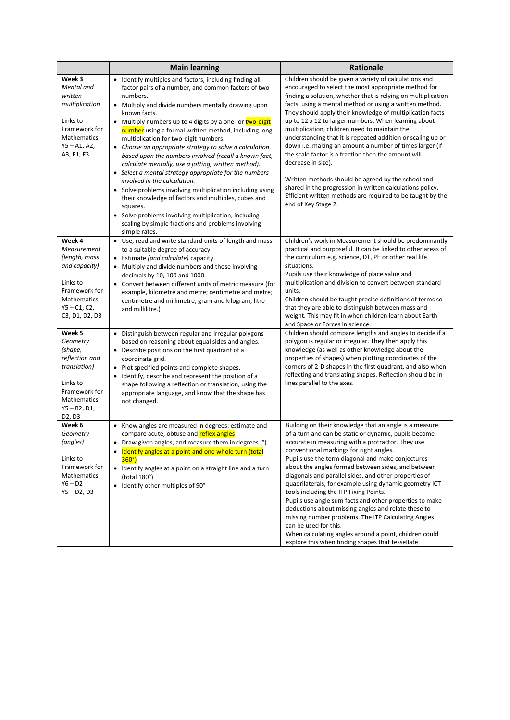|                                                                                                                                                      | <b>Main learning</b>                                                                                                                                                                                                                                                                                                                                                                                                                                                                                                                                                                                                                                                                                                                                                                                                                                                                                  | Rationale                                                                                                                                                                                                                                                                                                                                                                                                                                                                                                                                                                                                                                                                                                                                                                                                                       |
|------------------------------------------------------------------------------------------------------------------------------------------------------|-------------------------------------------------------------------------------------------------------------------------------------------------------------------------------------------------------------------------------------------------------------------------------------------------------------------------------------------------------------------------------------------------------------------------------------------------------------------------------------------------------------------------------------------------------------------------------------------------------------------------------------------------------------------------------------------------------------------------------------------------------------------------------------------------------------------------------------------------------------------------------------------------------|---------------------------------------------------------------------------------------------------------------------------------------------------------------------------------------------------------------------------------------------------------------------------------------------------------------------------------------------------------------------------------------------------------------------------------------------------------------------------------------------------------------------------------------------------------------------------------------------------------------------------------------------------------------------------------------------------------------------------------------------------------------------------------------------------------------------------------|
| Week 3<br>Mental and<br>written<br>multiplication<br>Links to<br>Framework for<br>Mathematics<br>$Y5 - A1, A2,$<br>A3, E1, E3                        | • Identify multiples and factors, including finding all<br>factor pairs of a number, and common factors of two<br>numbers.<br>• Multiply and divide numbers mentally drawing upon<br>known facts.<br>Multiply numbers up to 4 digits by a one- or two-digit<br>٠<br>number using a formal written method, including long<br>multiplication for two-digit numbers.<br>• Choose an appropriate strategy to solve a calculation<br>based upon the numbers involved (recall a known fact,<br>calculate mentally, use a jotting, written method).<br>• Select a mental strategy appropriate for the numbers<br>involved in the calculation.<br>• Solve problems involving multiplication including using<br>their knowledge of factors and multiples, cubes and<br>squares.<br>• Solve problems involving multiplication, including<br>scaling by simple fractions and problems involving<br>simple rates. | Children should be given a variety of calculations and<br>encouraged to select the most appropriate method for<br>finding a solution, whether that is relying on multiplication<br>facts, using a mental method or using a written method.<br>They should apply their knowledge of multiplication facts<br>up to 12 x 12 to larger numbers. When learning about<br>multiplication, children need to maintain the<br>understanding that it is repeated addition or scaling up or<br>down i.e. making an amount a number of times larger (if<br>the scale factor is a fraction then the amount will<br>decrease in size).<br>Written methods should be agreed by the school and<br>shared in the progression in written calculations policy.<br>Efficient written methods are required to be taught by the<br>end of Key Stage 2. |
| Week 4<br>Measurement<br>(length, mass<br>and capacity)<br>Links to<br>Framework for<br><b>Mathematics</b><br>$Y5 - C1, C2,$<br>C3, D1, D2, D3       | • Use, read and write standard units of length and mass<br>to a suitable degree of accuracy.<br>• Estimate (and calculate) capacity.<br>• Multiply and divide numbers and those involving<br>decimals by 10, 100 and 1000.<br>• Convert between different units of metric measure (for<br>example, kilometre and metre; centimetre and metre;<br>centimetre and millimetre; gram and kilogram; litre<br>and millilitre.)                                                                                                                                                                                                                                                                                                                                                                                                                                                                              | Children's work in Measurement should be predominantly<br>practical and purposeful. It can be linked to other areas of<br>the curriculum e.g. science, DT, PE or other real life<br>situations.<br>Pupils use their knowledge of place value and<br>multiplication and division to convert between standard<br>units.<br>Children should be taught precise definitions of terms so<br>that they are able to distinguish between mass and<br>weight. This may fit in when children learn about Earth<br>and Space or Forces in science.                                                                                                                                                                                                                                                                                          |
| Week 5<br>Geometry<br>(shape,<br>reflection and<br><i>translation</i> )<br>Links to<br>Framework for<br><b>Mathematics</b><br>Y5 - B2, D1,<br>D2, D3 | • Distinguish between regular and irregular polygons<br>based on reasoning about equal sides and angles.<br>• Describe positions on the first quadrant of a<br>coordinate grid.<br>Plot specified points and complete shapes.<br>٠<br>Identify, describe and represent the position of a<br>$\bullet$<br>shape following a reflection or translation, using the<br>appropriate language, and know that the shape has<br>not changed.                                                                                                                                                                                                                                                                                                                                                                                                                                                                  | Children should compare lengths and angles to decide if a<br>polygon is regular or irregular. They then apply this<br>knowledge (as well as other knowledge about the<br>properties of shapes) when plotting coordinates of the<br>corners of 2-D shapes in the first quadrant, and also when<br>reflecting and translating shapes. Reflection should be in<br>lines parallel to the axes.                                                                                                                                                                                                                                                                                                                                                                                                                                      |
| Week 6<br>Geometry<br>(angles)<br>Links to<br>Framework for<br>Mathematics<br>$Y6 - D2$<br>$Y5 - D2, D3$                                             | • Know angles are measured in degrees: estimate and<br>compare acute, obtuse and reflex angles<br>• Draw given angles, and measure them in degrees (°)<br>Identify angles at a point and one whole turn (total<br>$360^\circ$<br>• Identify angles at a point on a straight line and a turn<br>(total 180°)<br>• Identify other multiples of 90°                                                                                                                                                                                                                                                                                                                                                                                                                                                                                                                                                      | Building on their knowledge that an angle is a measure<br>of a turn and can be static or dynamic, pupils become<br>accurate in measuring with a protractor. They use<br>conventional markings for right angles.<br>Pupils use the term diagonal and make conjectures<br>about the angles formed between sides, and between<br>diagonals and parallel sides, and other properties of<br>quadrilaterals, for example using dynamic geometry ICT<br>tools including the ITP Fixing Points.<br>Pupils use angle sum facts and other properties to make<br>deductions about missing angles and relate these to<br>missing number problems. The ITP Calculating Angles<br>can be used for this.<br>When calculating angles around a point, children could<br>explore this when finding shapes that tessellate.                        |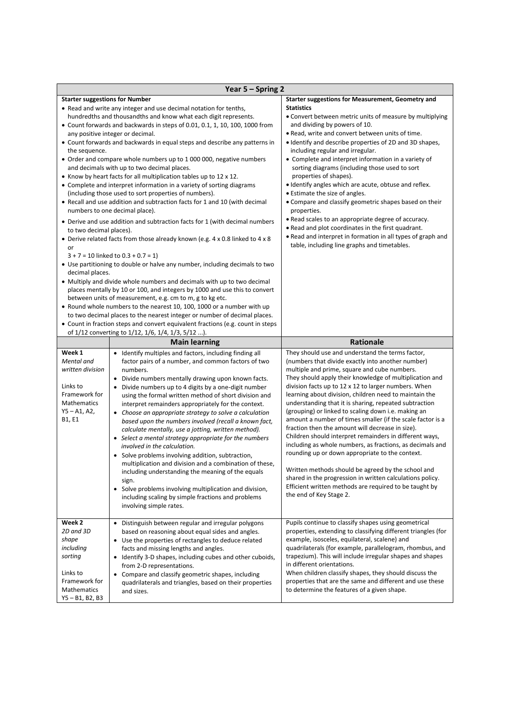|                                                                                                                     | Year 5 - Spring 2                                                                                                                                                                                                                                                                                                                                                                                                                                                                                                                                                                                                                                                                                                                                                                                                                                                                                                                                                                                                                                                                                                                                                                                                                                                                                                                                                                                                                                                                                                                           |                                                                                                                                                                                                                                                                                                                                                                                                                                                                                                                                                                                                                                                                                                                                                                                                                                                                                                                                                          |
|---------------------------------------------------------------------------------------------------------------------|---------------------------------------------------------------------------------------------------------------------------------------------------------------------------------------------------------------------------------------------------------------------------------------------------------------------------------------------------------------------------------------------------------------------------------------------------------------------------------------------------------------------------------------------------------------------------------------------------------------------------------------------------------------------------------------------------------------------------------------------------------------------------------------------------------------------------------------------------------------------------------------------------------------------------------------------------------------------------------------------------------------------------------------------------------------------------------------------------------------------------------------------------------------------------------------------------------------------------------------------------------------------------------------------------------------------------------------------------------------------------------------------------------------------------------------------------------------------------------------------------------------------------------------------|----------------------------------------------------------------------------------------------------------------------------------------------------------------------------------------------------------------------------------------------------------------------------------------------------------------------------------------------------------------------------------------------------------------------------------------------------------------------------------------------------------------------------------------------------------------------------------------------------------------------------------------------------------------------------------------------------------------------------------------------------------------------------------------------------------------------------------------------------------------------------------------------------------------------------------------------------------|
| <b>Starter suggestions for Number</b><br>the sequence.<br>to two decimal places).<br>or<br>decimal places.          | • Read and write any integer and use decimal notation for tenths,<br>hundredths and thousandths and know what each digit represents.<br>• Count forwards and backwards in steps of 0.01, 0.1, 1, 10, 100, 1000 from<br>any positive integer or decimal.<br>• Count forwards and backwards in equal steps and describe any patterns in<br>• Order and compare whole numbers up to 1 000 000, negative numbers<br>and decimals with up to two decimal places.<br>• Know by heart facts for all multiplication tables up to 12 x 12.<br>• Complete and interpret information in a variety of sorting diagrams<br>(including those used to sort properties of numbers).<br>• Recall and use addition and subtraction facts for 1 and 10 (with decimal<br>numbers to one decimal place).<br>• Derive and use addition and subtraction facts for 1 (with decimal numbers<br>• Derive related facts from those already known (e.g. 4 x 0.8 linked to 4 x 8<br>$3 + 7 = 10$ linked to $0.3 + 0.7 = 1$<br>• Use partitioning to double or halve any number, including decimals to two<br>• Multiply and divide whole numbers and decimals with up to two decimal<br>places mentally by 10 or 100, and integers by 1000 and use this to convert<br>between units of measurement, e.g. cm to m, g to kg etc.<br>• Round whole numbers to the nearest 10, 100, 1000 or a number with up<br>to two decimal places to the nearest integer or number of decimal places.<br>• Count in fraction steps and convert equivalent fractions (e.g. count in steps | Starter suggestions for Measurement, Geometry and<br><b>Statistics</b><br>• Convert between metric units of measure by multiplying<br>and dividing by powers of 10.<br>. Read, write and convert between units of time.<br>. Identify and describe properties of 2D and 3D shapes,<br>including regular and irregular.<br>• Complete and interpret information in a variety of<br>sorting diagrams (including those used to sort<br>properties of shapes).<br>. Identify angles which are acute, obtuse and reflex.<br>• Estimate the size of angles.<br>• Compare and classify geometric shapes based on their<br>properties.<br>• Read scales to an appropriate degree of accuracy.<br>. Read and plot coordinates in the first quadrant.<br>. Read and interpret in formation in all types of graph and<br>table, including line graphs and timetables.                                                                                               |
|                                                                                                                     | of 1/12 converting to 1/12, 1/6, 1/4, 1/3, 5/12 ).<br><b>Main learning</b>                                                                                                                                                                                                                                                                                                                                                                                                                                                                                                                                                                                                                                                                                                                                                                                                                                                                                                                                                                                                                                                                                                                                                                                                                                                                                                                                                                                                                                                                  | Rationale                                                                                                                                                                                                                                                                                                                                                                                                                                                                                                                                                                                                                                                                                                                                                                                                                                                                                                                                                |
| Week 1<br>Mental and<br>written division<br>Links to<br>Framework for<br>Mathematics<br>$Y5 - A1, A2,$<br>B1, E1    | • Identify multiples and factors, including finding all<br>factor pairs of a number, and common factors of two<br>numbers.<br>• Divide numbers mentally drawing upon known facts.<br>• Divide numbers up to 4 digits by a one-digit number<br>using the formal written method of short division and<br>interpret remainders appropriately for the context.<br>• Choose an appropriate strategy to solve a calculation<br>based upon the numbers involved (recall a known fact,<br>calculate mentally, use a jotting, written method).<br>• Select a mental strategy appropriate for the numbers<br>involved in the calculation.<br>• Solve problems involving addition, subtraction,<br>multiplication and division and a combination of these,<br>including understanding the meaning of the equals<br>sign.<br>• Solve problems involving multiplication and division,<br>including scaling by simple fractions and problems<br>involving simple rates.                                                                                                                                                                                                                                                                                                                                                                                                                                                                                                                                                                                   | They should use and understand the terms factor,<br>(numbers that divide exactly into another number)<br>multiple and prime, square and cube numbers.<br>They should apply their knowledge of multiplication and<br>division facts up to 12 x 12 to larger numbers. When<br>learning about division, children need to maintain the<br>understanding that it is sharing, repeated subtraction<br>(grouping) or linked to scaling down i.e. making an<br>amount a number of times smaller (if the scale factor is a<br>fraction then the amount will decrease in size).<br>Children should interpret remainders in different ways,<br>including as whole numbers, as fractions, as decimals and<br>rounding up or down appropriate to the context.<br>Written methods should be agreed by the school and<br>shared in the progression in written calculations policy.<br>Efficient written methods are required to be taught by<br>the end of Key Stage 2. |
| Week 2<br>2D and 3D<br>shape<br>including<br>sorting<br>Links to<br>Framework for<br>Mathematics<br>Y5 - B1, B2, B3 | • Distinguish between regular and irregular polygons<br>based on reasoning about equal sides and angles.<br>• Use the properties of rectangles to deduce related<br>facts and missing lengths and angles.<br>• Identify 3-D shapes, including cubes and other cuboids,<br>from 2-D representations.<br>• Compare and classify geometric shapes, including<br>quadrilaterals and triangles, based on their properties<br>and sizes.                                                                                                                                                                                                                                                                                                                                                                                                                                                                                                                                                                                                                                                                                                                                                                                                                                                                                                                                                                                                                                                                                                          | Pupils continue to classify shapes using geometrical<br>properties, extending to classifying different triangles (for<br>example, isosceles, equilateral, scalene) and<br>quadrilaterals (for example, parallelogram, rhombus, and<br>trapezium). This will include irregular shapes and shapes<br>in different orientations.<br>When children classify shapes, they should discuss the<br>properties that are the same and different and use these<br>to determine the features of a given shape.                                                                                                                                                                                                                                                                                                                                                                                                                                                       |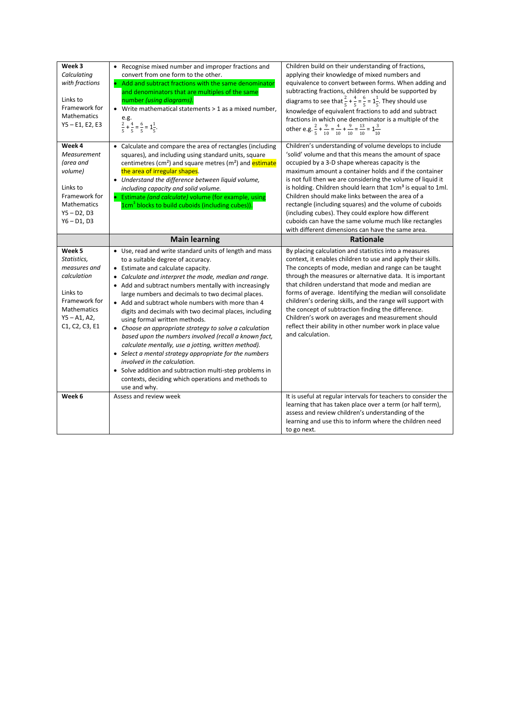| Week 3<br>Calculating<br>with fractions<br>Links to<br>Framework for<br>Mathematics<br>$Y5 - E1, E2, E3$                             | • Recognise mixed number and improper fractions and<br>convert from one form to the other.<br>• Add and subtract fractions with the same denominator<br>and denominators that are multiples of the same<br>number (using diagrams).<br>• Write mathematical statements > 1 as a mixed number,<br>e.g.<br>$\frac{2}{5} + \frac{4}{5} = \frac{6}{5} = 1\frac{1}{5}.$                                                                                                                                                                                                                                                                                                                                                                                                                                                                                              | Children build on their understanding of fractions,<br>applying their knowledge of mixed numbers and<br>equivalence to convert between forms. When adding and<br>subtracting fractions, children should be supported by<br>diagrams to see that $\frac{2}{5} + \frac{4}{5} = \frac{6}{5} = 1\frac{1}{5}$ . They should use<br>knowledge of equivalent fractions to add and subtract<br>fractions in which one denominator is a multiple of the<br>other e.g. $\frac{2}{5} + \frac{9}{10} = \frac{4}{10} + \frac{9}{10} = \frac{13}{10} = \frac{3}{10}$                                                                                                      |
|--------------------------------------------------------------------------------------------------------------------------------------|-----------------------------------------------------------------------------------------------------------------------------------------------------------------------------------------------------------------------------------------------------------------------------------------------------------------------------------------------------------------------------------------------------------------------------------------------------------------------------------------------------------------------------------------------------------------------------------------------------------------------------------------------------------------------------------------------------------------------------------------------------------------------------------------------------------------------------------------------------------------|-------------------------------------------------------------------------------------------------------------------------------------------------------------------------------------------------------------------------------------------------------------------------------------------------------------------------------------------------------------------------------------------------------------------------------------------------------------------------------------------------------------------------------------------------------------------------------------------------------------------------------------------------------------|
| Week 4<br>Measurement<br>(area and<br>volume)<br>Links to<br>Framework for<br>Mathematics<br>$Y5 - D2, D3$<br>$Y6 - D1, D3$          | • Calculate and compare the area of rectangles (including<br>squares), and including using standard units, square<br>centimetres (cm <sup>2</sup> ) and square metres (m <sup>2</sup> ) and <b>estimate</b><br>the area of irregular shapes.<br>• Understand the difference between liquid volume,<br>including capacity and solid volume.<br>• Estimate (and calculate) volume (for example, using<br>1cm <sup>3</sup> blocks to build cuboids (including cubes)).                                                                                                                                                                                                                                                                                                                                                                                             | Children's understanding of volume develops to include<br>'solid' volume and that this means the amount of space<br>occupied by a 3-D shape whereas capacity is the<br>maximum amount a container holds and if the container<br>is not full then we are considering the volume of liquid it<br>is holding. Children should learn that 1cm <sup>3</sup> is equal to 1ml.<br>Children should make links between the area of a<br>rectangle (including squares) and the volume of cuboids<br>(including cubes). They could explore how different<br>cuboids can have the same volume much like rectangles<br>with different dimensions can have the same area. |
|                                                                                                                                      | <b>Main learning</b>                                                                                                                                                                                                                                                                                                                                                                                                                                                                                                                                                                                                                                                                                                                                                                                                                                            | <b>Rationale</b>                                                                                                                                                                                                                                                                                                                                                                                                                                                                                                                                                                                                                                            |
|                                                                                                                                      |                                                                                                                                                                                                                                                                                                                                                                                                                                                                                                                                                                                                                                                                                                                                                                                                                                                                 |                                                                                                                                                                                                                                                                                                                                                                                                                                                                                                                                                                                                                                                             |
| Week 5<br>Statistics,<br>measures and<br>calculation<br>Links to<br>Framework for<br>Mathematics<br>$Y5 - A1, A2,$<br>C1, C2, C3, E1 | • Use, read and write standard units of length and mass<br>to a suitable degree of accuracy.<br>• Estimate and calculate capacity.<br>• Calculate and interpret the mode, median and range.<br>• Add and subtract numbers mentally with increasingly<br>large numbers and decimals to two decimal places.<br>• Add and subtract whole numbers with more than 4<br>digits and decimals with two decimal places, including<br>using formal written methods.<br>• Choose an appropriate strategy to solve a calculation<br>based upon the numbers involved (recall a known fact,<br>calculate mentally, use a jotting, written method).<br>• Select a mental strategy appropriate for the numbers<br>involved in the calculation.<br>• Solve addition and subtraction multi-step problems in<br>contexts, deciding which operations and methods to<br>use and why. | By placing calculation and statistics into a measures<br>context, it enables children to use and apply their skills.<br>The concepts of mode, median and range can be taught<br>through the measures or alternative data. It is important<br>that children understand that mode and median are<br>forms of average. Identifying the median will consolidate<br>children's ordering skills, and the range will support with<br>the concept of subtraction finding the difference.<br>Children's work on averages and measurement should<br>reflect their ability in other number work in place value<br>and calculation.                                     |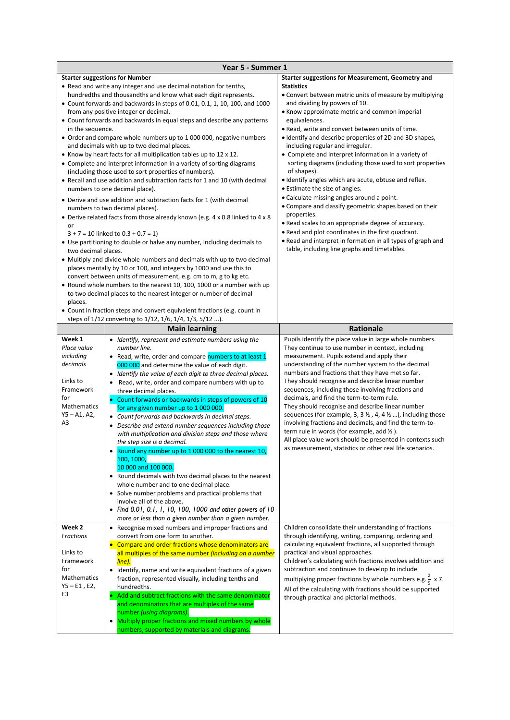|                                                                                                                       | Year 5 - Summer 1                                                                                                                                                                                                                                                                                                                                                                                                                                                                                                                                                                                                                                                                                                                                                                                                                                                                                                                                                                                                                                                                                                                                                                                                                                                                                                                                                                                                                                                                                                                                                                              |                                                                                                                                                                                                                                                                                                                                                                                                                                                                                                                                                                                                                                                                                                                                                                                                                                                                                                                                                                            |
|-----------------------------------------------------------------------------------------------------------------------|------------------------------------------------------------------------------------------------------------------------------------------------------------------------------------------------------------------------------------------------------------------------------------------------------------------------------------------------------------------------------------------------------------------------------------------------------------------------------------------------------------------------------------------------------------------------------------------------------------------------------------------------------------------------------------------------------------------------------------------------------------------------------------------------------------------------------------------------------------------------------------------------------------------------------------------------------------------------------------------------------------------------------------------------------------------------------------------------------------------------------------------------------------------------------------------------------------------------------------------------------------------------------------------------------------------------------------------------------------------------------------------------------------------------------------------------------------------------------------------------------------------------------------------------------------------------------------------------|----------------------------------------------------------------------------------------------------------------------------------------------------------------------------------------------------------------------------------------------------------------------------------------------------------------------------------------------------------------------------------------------------------------------------------------------------------------------------------------------------------------------------------------------------------------------------------------------------------------------------------------------------------------------------------------------------------------------------------------------------------------------------------------------------------------------------------------------------------------------------------------------------------------------------------------------------------------------------|
| in the sequence.<br>or<br>two decimal places.<br>places.                                                              | <b>Starter suggestions for Number</b><br>• Read and write any integer and use decimal notation for tenths,<br>hundredths and thousandths and know what each digit represents.<br>• Count forwards and backwards in steps of 0.01, 0.1, 1, 10, 100, and 1000<br>from any positive integer or decimal.<br>• Count forwards and backwards in equal steps and describe any patterns<br>• Order and compare whole numbers up to 1 000 000, negative numbers<br>and decimals with up to two decimal places.<br>• Know by heart facts for all multiplication tables up to 12 x 12.<br>• Complete and interpret information in a variety of sorting diagrams<br>(including those used to sort properties of numbers).<br>• Recall and use addition and subtraction facts for 1 and 10 (with decimal<br>numbers to one decimal place).<br>• Derive and use addition and subtraction facts for 1 (with decimal<br>numbers to two decimal places).<br>• Derive related facts from those already known (e.g. 4 x 0.8 linked to 4 x 8<br>$3 + 7 = 10$ linked to $0.3 + 0.7 = 1$<br>• Use partitioning to double or halve any number, including decimals to<br>• Multiply and divide whole numbers and decimals with up to two decimal<br>places mentally by 10 or 100, and integers by 1000 and use this to<br>convert between units of measurement, e.g. cm to m, g to kg etc.<br>• Round whole numbers to the nearest 10, 100, 1000 or a number with up<br>to two decimal places to the nearest integer or number of decimal<br>• Count in fraction steps and convert equivalent fractions (e.g. count in | Starter suggestions for Measurement, Geometry and<br><b>Statistics</b><br>• Convert between metric units of measure by multiplying<br>and dividing by powers of 10.<br>• Know approximate metric and common imperial<br>equivalences.<br>. Read, write and convert between units of time.<br>• Identify and describe properties of 2D and 3D shapes,<br>including regular and irregular.<br>• Complete and interpret information in a variety of<br>sorting diagrams (including those used to sort properties<br>of shapes).<br>• Identify angles which are acute, obtuse and reflex.<br>• Estimate the size of angles.<br>• Calculate missing angles around a point.<br>• Compare and classify geometric shapes based on their<br>properties.<br>• Read scales to an appropriate degree of accuracy.<br>. Read and plot coordinates in the first quadrant.<br>• Read and interpret in formation in all types of graph and<br>table, including line graphs and timetables. |
|                                                                                                                       | steps of 1/12 converting to 1/12, 1/6, 1/4, 1/3, 5/12 ).                                                                                                                                                                                                                                                                                                                                                                                                                                                                                                                                                                                                                                                                                                                                                                                                                                                                                                                                                                                                                                                                                                                                                                                                                                                                                                                                                                                                                                                                                                                                       |                                                                                                                                                                                                                                                                                                                                                                                                                                                                                                                                                                                                                                                                                                                                                                                                                                                                                                                                                                            |
|                                                                                                                       | <b>Main learning</b>                                                                                                                                                                                                                                                                                                                                                                                                                                                                                                                                                                                                                                                                                                                                                                                                                                                                                                                                                                                                                                                                                                                                                                                                                                                                                                                                                                                                                                                                                                                                                                           | Rationale                                                                                                                                                                                                                                                                                                                                                                                                                                                                                                                                                                                                                                                                                                                                                                                                                                                                                                                                                                  |
| Week 1<br>Place value<br>including<br>decimals<br>Links to<br>Framework<br>for<br>Mathematics<br>$Y5 - A1, A2,$<br>A3 | • Identify, represent and estimate numbers using the<br>number line.<br>• Read, write, order and compare numbers to at least 1<br>000 000 and determine the value of each digit.<br>• Identify the value of each digit to three decimal places.<br>• Read, write, order and compare numbers with up to<br>three decimal places.<br>• Count forwards or backwards in steps of powers of 10<br>for any given number up to 1 000 000.<br>• Count forwards and backwards in decimal steps.<br>• Describe and extend number sequences including those<br>with multiplication and division steps and those where<br>the step size is a decimal.<br>Round any number up to 1 000 000 to the nearest 10,<br>100, 1000,<br>10 000 and 100 000.<br>• Round decimals with two decimal places to the nearest<br>whole number and to one decimal place.<br>• Solve number problems and practical problems that<br>involve all of the above.<br>• Find 0.01, 0.1, 1, 10, 100, 1000 and other powers of 10<br>more or less than a given number than a given number.                                                                                                                                                                                                                                                                                                                                                                                                                                                                                                                                           | Pupils identify the place value in large whole numbers.<br>They continue to use number in context, including<br>measurement. Pupils extend and apply their<br>understanding of the number system to the decimal<br>numbers and fractions that they have met so far.<br>They should recognise and describe linear number<br>sequences, including those involving fractions and<br>decimals, and find the term-to-term rule.<br>They should recognise and describe linear number<br>sequences (for example, 3, 3 $\frac{1}{2}$ , 4, 4 $\frac{1}{2}$ ), including those<br>involving fractions and decimals, and find the term-to-<br>term rule in words (for example, add $\frac{1}{2}$ ).<br>All place value work should be presented in contexts such<br>as measurement, statistics or other real life scenarios.                                                                                                                                                          |
| Week 2<br>Fractions<br>Links to<br>Framework<br>for<br>Mathematics<br>$Y5 - E1, E2,$<br>E3                            | • Recognise mixed numbers and improper fractions and<br>convert from one form to another.<br>• Compare and order fractions whose denominators are<br>all multiples of the same number (including on a number<br>line).<br>• Identify, name and write equivalent fractions of a given<br>fraction, represented visually, including tenths and<br>hundredths.<br>• Add and subtract fractions with the same denominator<br>and denominators that are multiples of the same<br>number (using diagrams).                                                                                                                                                                                                                                                                                                                                                                                                                                                                                                                                                                                                                                                                                                                                                                                                                                                                                                                                                                                                                                                                                           | Children consolidate their understanding of fractions<br>through identifying, writing, comparing, ordering and<br>calculating equivalent fractions, all supported through<br>practical and visual approaches.<br>Children's calculating with fractions involves addition and<br>subtraction and continues to develop to include<br>multiplying proper fractions by whole numbers e.g. $\frac{2}{5}$ x 7.<br>All of the calculating with fractions should be supported<br>through practical and pictorial methods.                                                                                                                                                                                                                                                                                                                                                                                                                                                          |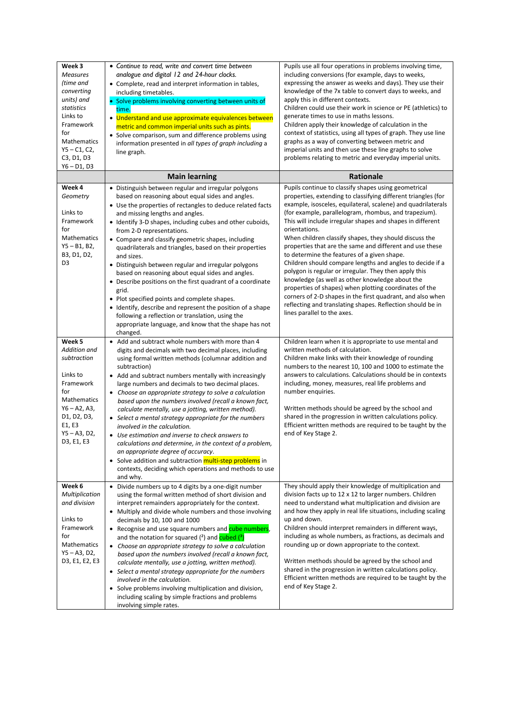| Week 3<br><b>Measures</b><br>(time and<br>converting<br>units) and<br>statistics<br>Links to<br>Framework<br>for<br>Mathematics<br>$Y5 - C1, C2,$<br>C3, D1, D3<br>$Y6 - D1, D3$ | • Continue to read, write and convert time between<br>analogue and digital 12 and 24-hour clocks.<br>• Complete, read and interpret information in tables,<br>including timetables.<br>• Solve problems involving converting between units of<br>time.<br>• Understand and use approximate equivalences between<br>metric and common imperial units such as pints.<br>• Solve comparison, sum and difference problems using<br>information presented in all types of graph including a<br>line graph.                                                                                                                                                                                                                                                                                                                                                        | Pupils use all four operations in problems involving time,<br>including conversions (for example, days to weeks,<br>expressing the answer as weeks and days). They use their<br>knowledge of the 7x table to convert days to weeks, and<br>apply this in different contexts.<br>Children could use their work in science or PE (athletics) to<br>generate times to use in maths lessons.<br>Children apply their knowledge of calculation in the<br>context of statistics, using all types of graph. They use line<br>graphs as a way of converting between metric and<br>imperial units and then use these line graphs to solve<br>problems relating to metric and everyday imperial units.                                                                                                                                                                                                     |
|----------------------------------------------------------------------------------------------------------------------------------------------------------------------------------|--------------------------------------------------------------------------------------------------------------------------------------------------------------------------------------------------------------------------------------------------------------------------------------------------------------------------------------------------------------------------------------------------------------------------------------------------------------------------------------------------------------------------------------------------------------------------------------------------------------------------------------------------------------------------------------------------------------------------------------------------------------------------------------------------------------------------------------------------------------|--------------------------------------------------------------------------------------------------------------------------------------------------------------------------------------------------------------------------------------------------------------------------------------------------------------------------------------------------------------------------------------------------------------------------------------------------------------------------------------------------------------------------------------------------------------------------------------------------------------------------------------------------------------------------------------------------------------------------------------------------------------------------------------------------------------------------------------------------------------------------------------------------|
|                                                                                                                                                                                  | <b>Main learning</b>                                                                                                                                                                                                                                                                                                                                                                                                                                                                                                                                                                                                                                                                                                                                                                                                                                         | Rationale                                                                                                                                                                                                                                                                                                                                                                                                                                                                                                                                                                                                                                                                                                                                                                                                                                                                                        |
| Week 4<br>Geometry<br>Links to<br>Framework<br>for<br>Mathematics<br>$Y5 - B1, B2,$<br>B3, D1, D2,<br>D <sub>3</sub>                                                             | • Distinguish between regular and irregular polygons<br>based on reasoning about equal sides and angles.<br>• Use the properties of rectangles to deduce related facts<br>and missing lengths and angles.<br>• Identify 3-D shapes, including cubes and other cuboids,<br>from 2-D representations.<br>• Compare and classify geometric shapes, including<br>quadrilaterals and triangles, based on their properties<br>and sizes.<br>• Distinguish between regular and irregular polygons<br>based on reasoning about equal sides and angles.<br>• Describe positions on the first quadrant of a coordinate<br>grid.<br>• Plot specified points and complete shapes.<br>• Identify, describe and represent the position of a shape<br>following a reflection or translation, using the<br>appropriate language, and know that the shape has not<br>changed. | Pupils continue to classify shapes using geometrical<br>properties, extending to classifying different triangles (for<br>example, isosceles, equilateral, scalene) and quadrilaterals<br>(for example, parallelogram, rhombus, and trapezium).<br>This will include irregular shapes and shapes in different<br>orientations.<br>When children classify shapes, they should discuss the<br>properties that are the same and different and use these<br>to determine the features of a given shape.<br>Children should compare lengths and angles to decide if a<br>polygon is regular or irregular. They then apply this<br>knowledge (as well as other knowledge about the<br>properties of shapes) when plotting coordinates of the<br>corners of 2-D shapes in the first quadrant, and also when<br>reflecting and translating shapes. Reflection should be in<br>lines parallel to the axes. |
| Week 5<br>Addition and<br>subtraction<br>Links to<br>Framework<br>for<br>Mathematics<br>$Y6 - A2, A3,$<br>D1, D2, D3,<br>E1, E3<br>Y5 - A3, D2,<br>D3, E1, E3                    | • Add and subtract whole numbers with more than 4<br>digits and decimals with two decimal places, including<br>using formal written methods (columnar addition and<br>subtraction)<br>• Add and subtract numbers mentally with increasingly<br>large numbers and decimals to two decimal places.<br>Choose an appropriate strategy to solve a calculation<br>based upon the numbers involved (recall a known fact,<br>calculate mentally, use a jotting, written method).<br>• Select a mental strategy appropriate for the numbers<br>involved in the calculation.<br>• Use estimation and inverse to check answers to<br>calculations and determine, in the context of a problem,<br>an appropriate degree of accuracy.<br>• Solve addition and subtraction multi-step problems in<br>contexts, deciding which operations and methods to use<br>and why.   | Children learn when it is appropriate to use mental and<br>written methods of calculation.<br>Children make links with their knowledge of rounding<br>numbers to the nearest 10, 100 and 1000 to estimate the<br>answers to calculations. Calculations should be in contexts<br>including, money, measures, real life problems and<br>number enquiries.<br>Written methods should be agreed by the school and<br>shared in the progression in written calculations policy.<br>Efficient written methods are required to be taught by the<br>end of Key Stage 2.                                                                                                                                                                                                                                                                                                                                  |
| Week 6<br>Multiplication<br>and division<br>Links to<br>Framework<br>for<br>Mathematics<br>$Y5 - A3, D2,$<br>D3, E1, E2, E3                                                      | • Divide numbers up to 4 digits by a one-digit number<br>using the formal written method of short division and<br>interpret remainders appropriately for the context.<br>• Multiply and divide whole numbers and those involving<br>decimals by 10, 100 and 1000<br>• Recognise and use square numbers and cube numbers,<br>and the notation for squared $(2)$ and cubed $(3)$<br>• Choose an appropriate strategy to solve a calculation<br>based upon the numbers involved (recall a known fact,<br>calculate mentally, use a jotting, written method).<br>• Select a mental strategy appropriate for the numbers<br>involved in the calculation.<br>• Solve problems involving multiplication and division,<br>including scaling by simple fractions and problems<br>involving simple rates.                                                              | They should apply their knowledge of multiplication and<br>division facts up to 12 x 12 to larger numbers. Children<br>need to understand what multiplication and division are<br>and how they apply in real life situations, including scaling<br>up and down.<br>Children should interpret remainders in different ways,<br>including as whole numbers, as fractions, as decimals and<br>rounding up or down appropriate to the context.<br>Written methods should be agreed by the school and<br>shared in the progression in written calculations policy.<br>Efficient written methods are required to be taught by the<br>end of Key Stage 2.                                                                                                                                                                                                                                               |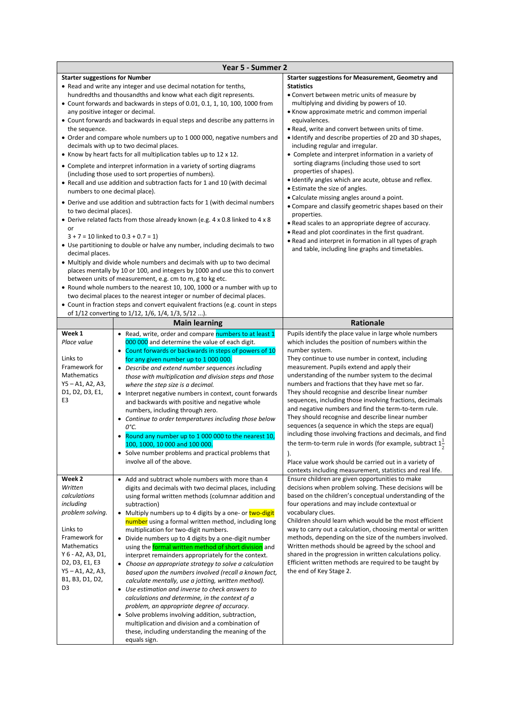| <b>Starter suggestions for Number</b><br>Starter suggestions for Measurement, Geometry and<br>• Read and write any integer and use decimal notation for tenths,<br><b>Statistics</b><br>hundredths and thousandths and know what each digit represents.<br>• Convert between metric units of measure by<br>multiplying and dividing by powers of 10.<br>• Count forwards and backwards in steps of 0.01, 0.1, 1, 10, 100, 1000 from<br>• Know approximate metric and common imperial<br>any positive integer or decimal.<br>• Count forwards and backwards in equal steps and describe any patterns in<br>equivalences.<br>• Read, write and convert between units of time.<br>the sequence.<br>• Order and compare whole numbers up to 1 000 000, negative numbers and<br>• Identify and describe properties of 2D and 3D shapes,<br>decimals with up to two decimal places.<br>including regular and irregular.<br>• Know by heart facts for all multiplication tables up to 12 x 12.<br>• Complete and interpret information in a variety of<br>sorting diagrams (including those used to sort<br>• Complete and interpret information in a variety of sorting diagrams<br>properties of shapes).<br>(including those used to sort properties of numbers).<br>. Identify angles which are acute, obtuse and reflex.<br>• Recall and use addition and subtraction facts for 1 and 10 (with decimal<br>• Estimate the size of angles.<br>numbers to one decimal place).<br>• Calculate missing angles around a point.<br>• Derive and use addition and subtraction facts for 1 (with decimal numbers<br>• Compare and classify geometric shapes based on their<br>to two decimal places).<br>properties.<br>• Derive related facts from those already known (e.g. 4 x 0.8 linked to 4 x 8<br>• Read scales to an appropriate degree of accuracy.<br>or<br>. Read and plot coordinates in the first quadrant.<br>$3 + 7 = 10$ linked to $0.3 + 0.7 = 1$<br>• Read and interpret in formation in all types of graph<br>• Use partitioning to double or halve any number, including decimals to two<br>and table, including line graphs and timetables.<br>decimal places.<br>• Multiply and divide whole numbers and decimals with up to two decimal<br>places mentally by 10 or 100, and integers by 1000 and use this to convert<br>between units of measurement, e.g. cm to m, g to kg etc.<br>• Round whole numbers to the nearest 10, 100, 1000 or a number with up to<br>two decimal places to the nearest integer or number of decimal places.<br>• Count in fraction steps and convert equivalent fractions (e.g. count in steps<br>of 1/12 converting to 1/12, 1/6, 1/4, 1/3, 5/12 ).<br>Rationale<br><b>Main learning</b><br>Week 1<br>Pupils identify the place value in large whole numbers<br>• Read, write, order and compare numbers to at least 1<br>Place value<br>which includes the position of numbers within the<br>000 000 and determine the value of each digit.<br>number system.<br>Count forwards or backwards in steps of powers of 10<br>Links to<br>They continue to use number in context, including<br>for any given number up to 1 000 000.<br>Framework for<br>measurement. Pupils extend and apply their<br>• Describe and extend number sequences including<br>understanding of the number system to the decimal<br>Mathematics<br>those with multiplication and division steps and those<br>$Y5 - A1, A2, A3,$<br>numbers and fractions that they have met so far.<br>where the step size is a decimal.<br>D1, D2, D3, E1,<br>They should recognise and describe linear number<br>• Interpret negative numbers in context, count forwards<br>sequences, including those involving fractions, decimals<br>E3<br>and backwards with positive and negative whole<br>and negative numbers and find the term-to-term rule.<br>numbers, including through zero.<br>They should recognise and describe linear number<br>Continue to order temperatures including those below<br>sequences (a sequence in which the steps are equal)<br>0°С.<br>including those involving fractions and decimals, and find<br>Round any number up to 1 000 000 to the nearest 10,<br>the term-to-term rule in words (for example, subtract $1\frac{1}{2}$<br>100, 1000, 10 000 and 100 000.<br>• Solve number problems and practical problems that<br>$\mathcal{L}$<br>involve all of the above.<br>Place value work should be carried out in a variety of<br>contexts including measurement, statistics and real life.<br>Week 2<br>• Add and subtract whole numbers with more than 4<br>Ensure children are given opportunities to make<br>decisions when problem solving. These decisions will be<br>Written<br>digits and decimals with two decimal places, including<br>calculations<br>based on the children's conceptual understanding of the<br>using formal written methods (columnar addition and<br>four operations and may include contextual or<br>including<br>subtraction)<br>problem solving.<br>vocabulary clues.<br>Multiply numbers up to 4 digits by a one- or two-digit<br>$\bullet$<br>Children should learn which would be the most efficient<br>number using a formal written method, including long<br>way to carry out a calculation, choosing mental or written<br>Links to<br>multiplication for two-digit numbers.<br>methods, depending on the size of the numbers involved.<br>Framework for<br>Divide numbers up to 4 digits by a one-digit number<br>Written methods should be agreed by the school and<br>Mathematics<br>using the formal written method of short division and<br>Y 6 - A2, A3, D1,<br>shared in the progression in written calculations policy.<br>interpret remainders appropriately for the context.<br>Efficient written methods are required to be taught by<br>D2, D3, E1, E3<br>Choose an appropriate strategy to solve a calculation<br>Y5 - A1, A2, A3,<br>the end of Key Stage 2.<br>based upon the numbers involved (recall a known fact,<br>B1, B3, D1, D2,<br>calculate mentally, use a jotting, written method).<br>D3<br>Use estimation and inverse to check answers to<br>calculations and determine, in the context of a<br>problem, an appropriate degree of accuracy.<br>Solve problems involving addition, subtraction,<br>multiplication and division and a combination of | Year 5 - Summer 2 |  |
|--------------------------------------------------------------------------------------------------------------------------------------------------------------------------------------------------------------------------------------------------------------------------------------------------------------------------------------------------------------------------------------------------------------------------------------------------------------------------------------------------------------------------------------------------------------------------------------------------------------------------------------------------------------------------------------------------------------------------------------------------------------------------------------------------------------------------------------------------------------------------------------------------------------------------------------------------------------------------------------------------------------------------------------------------------------------------------------------------------------------------------------------------------------------------------------------------------------------------------------------------------------------------------------------------------------------------------------------------------------------------------------------------------------------------------------------------------------------------------------------------------------------------------------------------------------------------------------------------------------------------------------------------------------------------------------------------------------------------------------------------------------------------------------------------------------------------------------------------------------------------------------------------------------------------------------------------------------------------------------------------------------------------------------------------------------------------------------------------------------------------------------------------------------------------------------------------------------------------------------------------------------------------------------------------------------------------------------------------------------------------------------------------------------------------------------------------------------------------------------------------------------------------------------------------------------------------------------------------------------------------------------------------------------------------------------------------------------------------------------------------------------------------------------------------------------------------------------------------------------------------------------------------------------------------------------------------------------------------------------------------------------------------------------------------------------------------------------------------------------------------------------------------------------------------------------------------------------------------------------------------------------------------------------------------------------------------------------------------------------------------------------------------------------------------------------------------------------------------------------------------------------------------------------------------------------------------------------------------------------------------------------------------------------------------------------------------------------------------------------------------------------------------------------------------------------------------------------------------------------------------------------------------------------------------------------------------------------------------------------------------------------------------------------------------------------------------------------------------------------------------------------------------------------------------------------------------------------------------------------------------------------------------------------------------------------------------------------------------------------------------------------------------------------------------------------------------------------------------------------------------------------------------------------------------------------------------------------------------------------------------------------------------------------------------------------------------------------------------------------------------------------------------------------------------------------------------------------------------------------------------------------------------------------------------------------------------------------------------------------------------------------------------------------------------------------------------------------------------------------------------------------------------------------------------------------------------------------------------------------------------------------------------------------------------------------------------------------------------------------------------------------------------------------------------------------------------------------------------------------------------------------------------------------------------------------------------------------------------------------------------------------------------------------------------------------------------------------------------------------------------------------------------------------------------------------------------------------------------------------------------------------------------------------------------------------------------------------------------------------------------------------------------------------------------------------------------------------------------------------------------------------------------------------------------------------------------------------------------------------------------------------------------------------------------------------------------------------------------------------|-------------------|--|
|                                                                                                                                                                                                                                                                                                                                                                                                                                                                                                                                                                                                                                                                                                                                                                                                                                                                                                                                                                                                                                                                                                                                                                                                                                                                                                                                                                                                                                                                                                                                                                                                                                                                                                                                                                                                                                                                                                                                                                                                                                                                                                                                                                                                                                                                                                                                                                                                                                                                                                                                                                                                                                                                                                                                                                                                                                                                                                                                                                                                                                                                                                                                                                                                                                                                                                                                                                                                                                                                                                                                                                                                                                                                                                                                                                                                                                                                                                                                                                                                                                                                                                                                                                                                                                                                                                                                                                                                                                                                                                                                                                                                                                                                                                                                                                                                                                                                                                                                                                                                                                                                                                                                                                                                                                                                                                                                                                                                                                                                                                                                                                                                                                                                                                                                                                                                                                                                                                                                                                                                                                                                                                                                                                                                                                                                                                                                                              |                   |  |
|                                                                                                                                                                                                                                                                                                                                                                                                                                                                                                                                                                                                                                                                                                                                                                                                                                                                                                                                                                                                                                                                                                                                                                                                                                                                                                                                                                                                                                                                                                                                                                                                                                                                                                                                                                                                                                                                                                                                                                                                                                                                                                                                                                                                                                                                                                                                                                                                                                                                                                                                                                                                                                                                                                                                                                                                                                                                                                                                                                                                                                                                                                                                                                                                                                                                                                                                                                                                                                                                                                                                                                                                                                                                                                                                                                                                                                                                                                                                                                                                                                                                                                                                                                                                                                                                                                                                                                                                                                                                                                                                                                                                                                                                                                                                                                                                                                                                                                                                                                                                                                                                                                                                                                                                                                                                                                                                                                                                                                                                                                                                                                                                                                                                                                                                                                                                                                                                                                                                                                                                                                                                                                                                                                                                                                                                                                                                                              |                   |  |
|                                                                                                                                                                                                                                                                                                                                                                                                                                                                                                                                                                                                                                                                                                                                                                                                                                                                                                                                                                                                                                                                                                                                                                                                                                                                                                                                                                                                                                                                                                                                                                                                                                                                                                                                                                                                                                                                                                                                                                                                                                                                                                                                                                                                                                                                                                                                                                                                                                                                                                                                                                                                                                                                                                                                                                                                                                                                                                                                                                                                                                                                                                                                                                                                                                                                                                                                                                                                                                                                                                                                                                                                                                                                                                                                                                                                                                                                                                                                                                                                                                                                                                                                                                                                                                                                                                                                                                                                                                                                                                                                                                                                                                                                                                                                                                                                                                                                                                                                                                                                                                                                                                                                                                                                                                                                                                                                                                                                                                                                                                                                                                                                                                                                                                                                                                                                                                                                                                                                                                                                                                                                                                                                                                                                                                                                                                                                                              |                   |  |
|                                                                                                                                                                                                                                                                                                                                                                                                                                                                                                                                                                                                                                                                                                                                                                                                                                                                                                                                                                                                                                                                                                                                                                                                                                                                                                                                                                                                                                                                                                                                                                                                                                                                                                                                                                                                                                                                                                                                                                                                                                                                                                                                                                                                                                                                                                                                                                                                                                                                                                                                                                                                                                                                                                                                                                                                                                                                                                                                                                                                                                                                                                                                                                                                                                                                                                                                                                                                                                                                                                                                                                                                                                                                                                                                                                                                                                                                                                                                                                                                                                                                                                                                                                                                                                                                                                                                                                                                                                                                                                                                                                                                                                                                                                                                                                                                                                                                                                                                                                                                                                                                                                                                                                                                                                                                                                                                                                                                                                                                                                                                                                                                                                                                                                                                                                                                                                                                                                                                                                                                                                                                                                                                                                                                                                                                                                                                                              |                   |  |
|                                                                                                                                                                                                                                                                                                                                                                                                                                                                                                                                                                                                                                                                                                                                                                                                                                                                                                                                                                                                                                                                                                                                                                                                                                                                                                                                                                                                                                                                                                                                                                                                                                                                                                                                                                                                                                                                                                                                                                                                                                                                                                                                                                                                                                                                                                                                                                                                                                                                                                                                                                                                                                                                                                                                                                                                                                                                                                                                                                                                                                                                                                                                                                                                                                                                                                                                                                                                                                                                                                                                                                                                                                                                                                                                                                                                                                                                                                                                                                                                                                                                                                                                                                                                                                                                                                                                                                                                                                                                                                                                                                                                                                                                                                                                                                                                                                                                                                                                                                                                                                                                                                                                                                                                                                                                                                                                                                                                                                                                                                                                                                                                                                                                                                                                                                                                                                                                                                                                                                                                                                                                                                                                                                                                                                                                                                                                                              |                   |  |
|                                                                                                                                                                                                                                                                                                                                                                                                                                                                                                                                                                                                                                                                                                                                                                                                                                                                                                                                                                                                                                                                                                                                                                                                                                                                                                                                                                                                                                                                                                                                                                                                                                                                                                                                                                                                                                                                                                                                                                                                                                                                                                                                                                                                                                                                                                                                                                                                                                                                                                                                                                                                                                                                                                                                                                                                                                                                                                                                                                                                                                                                                                                                                                                                                                                                                                                                                                                                                                                                                                                                                                                                                                                                                                                                                                                                                                                                                                                                                                                                                                                                                                                                                                                                                                                                                                                                                                                                                                                                                                                                                                                                                                                                                                                                                                                                                                                                                                                                                                                                                                                                                                                                                                                                                                                                                                                                                                                                                                                                                                                                                                                                                                                                                                                                                                                                                                                                                                                                                                                                                                                                                                                                                                                                                                                                                                                                                              |                   |  |
|                                                                                                                                                                                                                                                                                                                                                                                                                                                                                                                                                                                                                                                                                                                                                                                                                                                                                                                                                                                                                                                                                                                                                                                                                                                                                                                                                                                                                                                                                                                                                                                                                                                                                                                                                                                                                                                                                                                                                                                                                                                                                                                                                                                                                                                                                                                                                                                                                                                                                                                                                                                                                                                                                                                                                                                                                                                                                                                                                                                                                                                                                                                                                                                                                                                                                                                                                                                                                                                                                                                                                                                                                                                                                                                                                                                                                                                                                                                                                                                                                                                                                                                                                                                                                                                                                                                                                                                                                                                                                                                                                                                                                                                                                                                                                                                                                                                                                                                                                                                                                                                                                                                                                                                                                                                                                                                                                                                                                                                                                                                                                                                                                                                                                                                                                                                                                                                                                                                                                                                                                                                                                                                                                                                                                                                                                                                                                              |                   |  |
|                                                                                                                                                                                                                                                                                                                                                                                                                                                                                                                                                                                                                                                                                                                                                                                                                                                                                                                                                                                                                                                                                                                                                                                                                                                                                                                                                                                                                                                                                                                                                                                                                                                                                                                                                                                                                                                                                                                                                                                                                                                                                                                                                                                                                                                                                                                                                                                                                                                                                                                                                                                                                                                                                                                                                                                                                                                                                                                                                                                                                                                                                                                                                                                                                                                                                                                                                                                                                                                                                                                                                                                                                                                                                                                                                                                                                                                                                                                                                                                                                                                                                                                                                                                                                                                                                                                                                                                                                                                                                                                                                                                                                                                                                                                                                                                                                                                                                                                                                                                                                                                                                                                                                                                                                                                                                                                                                                                                                                                                                                                                                                                                                                                                                                                                                                                                                                                                                                                                                                                                                                                                                                                                                                                                                                                                                                                                                              |                   |  |
|                                                                                                                                                                                                                                                                                                                                                                                                                                                                                                                                                                                                                                                                                                                                                                                                                                                                                                                                                                                                                                                                                                                                                                                                                                                                                                                                                                                                                                                                                                                                                                                                                                                                                                                                                                                                                                                                                                                                                                                                                                                                                                                                                                                                                                                                                                                                                                                                                                                                                                                                                                                                                                                                                                                                                                                                                                                                                                                                                                                                                                                                                                                                                                                                                                                                                                                                                                                                                                                                                                                                                                                                                                                                                                                                                                                                                                                                                                                                                                                                                                                                                                                                                                                                                                                                                                                                                                                                                                                                                                                                                                                                                                                                                                                                                                                                                                                                                                                                                                                                                                                                                                                                                                                                                                                                                                                                                                                                                                                                                                                                                                                                                                                                                                                                                                                                                                                                                                                                                                                                                                                                                                                                                                                                                                                                                                                                                              |                   |  |
|                                                                                                                                                                                                                                                                                                                                                                                                                                                                                                                                                                                                                                                                                                                                                                                                                                                                                                                                                                                                                                                                                                                                                                                                                                                                                                                                                                                                                                                                                                                                                                                                                                                                                                                                                                                                                                                                                                                                                                                                                                                                                                                                                                                                                                                                                                                                                                                                                                                                                                                                                                                                                                                                                                                                                                                                                                                                                                                                                                                                                                                                                                                                                                                                                                                                                                                                                                                                                                                                                                                                                                                                                                                                                                                                                                                                                                                                                                                                                                                                                                                                                                                                                                                                                                                                                                                                                                                                                                                                                                                                                                                                                                                                                                                                                                                                                                                                                                                                                                                                                                                                                                                                                                                                                                                                                                                                                                                                                                                                                                                                                                                                                                                                                                                                                                                                                                                                                                                                                                                                                                                                                                                                                                                                                                                                                                                                                              |                   |  |
|                                                                                                                                                                                                                                                                                                                                                                                                                                                                                                                                                                                                                                                                                                                                                                                                                                                                                                                                                                                                                                                                                                                                                                                                                                                                                                                                                                                                                                                                                                                                                                                                                                                                                                                                                                                                                                                                                                                                                                                                                                                                                                                                                                                                                                                                                                                                                                                                                                                                                                                                                                                                                                                                                                                                                                                                                                                                                                                                                                                                                                                                                                                                                                                                                                                                                                                                                                                                                                                                                                                                                                                                                                                                                                                                                                                                                                                                                                                                                                                                                                                                                                                                                                                                                                                                                                                                                                                                                                                                                                                                                                                                                                                                                                                                                                                                                                                                                                                                                                                                                                                                                                                                                                                                                                                                                                                                                                                                                                                                                                                                                                                                                                                                                                                                                                                                                                                                                                                                                                                                                                                                                                                                                                                                                                                                                                                                                              |                   |  |
|                                                                                                                                                                                                                                                                                                                                                                                                                                                                                                                                                                                                                                                                                                                                                                                                                                                                                                                                                                                                                                                                                                                                                                                                                                                                                                                                                                                                                                                                                                                                                                                                                                                                                                                                                                                                                                                                                                                                                                                                                                                                                                                                                                                                                                                                                                                                                                                                                                                                                                                                                                                                                                                                                                                                                                                                                                                                                                                                                                                                                                                                                                                                                                                                                                                                                                                                                                                                                                                                                                                                                                                                                                                                                                                                                                                                                                                                                                                                                                                                                                                                                                                                                                                                                                                                                                                                                                                                                                                                                                                                                                                                                                                                                                                                                                                                                                                                                                                                                                                                                                                                                                                                                                                                                                                                                                                                                                                                                                                                                                                                                                                                                                                                                                                                                                                                                                                                                                                                                                                                                                                                                                                                                                                                                                                                                                                                                              |                   |  |
|                                                                                                                                                                                                                                                                                                                                                                                                                                                                                                                                                                                                                                                                                                                                                                                                                                                                                                                                                                                                                                                                                                                                                                                                                                                                                                                                                                                                                                                                                                                                                                                                                                                                                                                                                                                                                                                                                                                                                                                                                                                                                                                                                                                                                                                                                                                                                                                                                                                                                                                                                                                                                                                                                                                                                                                                                                                                                                                                                                                                                                                                                                                                                                                                                                                                                                                                                                                                                                                                                                                                                                                                                                                                                                                                                                                                                                                                                                                                                                                                                                                                                                                                                                                                                                                                                                                                                                                                                                                                                                                                                                                                                                                                                                                                                                                                                                                                                                                                                                                                                                                                                                                                                                                                                                                                                                                                                                                                                                                                                                                                                                                                                                                                                                                                                                                                                                                                                                                                                                                                                                                                                                                                                                                                                                                                                                                                                              |                   |  |
|                                                                                                                                                                                                                                                                                                                                                                                                                                                                                                                                                                                                                                                                                                                                                                                                                                                                                                                                                                                                                                                                                                                                                                                                                                                                                                                                                                                                                                                                                                                                                                                                                                                                                                                                                                                                                                                                                                                                                                                                                                                                                                                                                                                                                                                                                                                                                                                                                                                                                                                                                                                                                                                                                                                                                                                                                                                                                                                                                                                                                                                                                                                                                                                                                                                                                                                                                                                                                                                                                                                                                                                                                                                                                                                                                                                                                                                                                                                                                                                                                                                                                                                                                                                                                                                                                                                                                                                                                                                                                                                                                                                                                                                                                                                                                                                                                                                                                                                                                                                                                                                                                                                                                                                                                                                                                                                                                                                                                                                                                                                                                                                                                                                                                                                                                                                                                                                                                                                                                                                                                                                                                                                                                                                                                                                                                                                                                              |                   |  |
|                                                                                                                                                                                                                                                                                                                                                                                                                                                                                                                                                                                                                                                                                                                                                                                                                                                                                                                                                                                                                                                                                                                                                                                                                                                                                                                                                                                                                                                                                                                                                                                                                                                                                                                                                                                                                                                                                                                                                                                                                                                                                                                                                                                                                                                                                                                                                                                                                                                                                                                                                                                                                                                                                                                                                                                                                                                                                                                                                                                                                                                                                                                                                                                                                                                                                                                                                                                                                                                                                                                                                                                                                                                                                                                                                                                                                                                                                                                                                                                                                                                                                                                                                                                                                                                                                                                                                                                                                                                                                                                                                                                                                                                                                                                                                                                                                                                                                                                                                                                                                                                                                                                                                                                                                                                                                                                                                                                                                                                                                                                                                                                                                                                                                                                                                                                                                                                                                                                                                                                                                                                                                                                                                                                                                                                                                                                                                              |                   |  |
|                                                                                                                                                                                                                                                                                                                                                                                                                                                                                                                                                                                                                                                                                                                                                                                                                                                                                                                                                                                                                                                                                                                                                                                                                                                                                                                                                                                                                                                                                                                                                                                                                                                                                                                                                                                                                                                                                                                                                                                                                                                                                                                                                                                                                                                                                                                                                                                                                                                                                                                                                                                                                                                                                                                                                                                                                                                                                                                                                                                                                                                                                                                                                                                                                                                                                                                                                                                                                                                                                                                                                                                                                                                                                                                                                                                                                                                                                                                                                                                                                                                                                                                                                                                                                                                                                                                                                                                                                                                                                                                                                                                                                                                                                                                                                                                                                                                                                                                                                                                                                                                                                                                                                                                                                                                                                                                                                                                                                                                                                                                                                                                                                                                                                                                                                                                                                                                                                                                                                                                                                                                                                                                                                                                                                                                                                                                                                              |                   |  |
|                                                                                                                                                                                                                                                                                                                                                                                                                                                                                                                                                                                                                                                                                                                                                                                                                                                                                                                                                                                                                                                                                                                                                                                                                                                                                                                                                                                                                                                                                                                                                                                                                                                                                                                                                                                                                                                                                                                                                                                                                                                                                                                                                                                                                                                                                                                                                                                                                                                                                                                                                                                                                                                                                                                                                                                                                                                                                                                                                                                                                                                                                                                                                                                                                                                                                                                                                                                                                                                                                                                                                                                                                                                                                                                                                                                                                                                                                                                                                                                                                                                                                                                                                                                                                                                                                                                                                                                                                                                                                                                                                                                                                                                                                                                                                                                                                                                                                                                                                                                                                                                                                                                                                                                                                                                                                                                                                                                                                                                                                                                                                                                                                                                                                                                                                                                                                                                                                                                                                                                                                                                                                                                                                                                                                                                                                                                                                              |                   |  |
|                                                                                                                                                                                                                                                                                                                                                                                                                                                                                                                                                                                                                                                                                                                                                                                                                                                                                                                                                                                                                                                                                                                                                                                                                                                                                                                                                                                                                                                                                                                                                                                                                                                                                                                                                                                                                                                                                                                                                                                                                                                                                                                                                                                                                                                                                                                                                                                                                                                                                                                                                                                                                                                                                                                                                                                                                                                                                                                                                                                                                                                                                                                                                                                                                                                                                                                                                                                                                                                                                                                                                                                                                                                                                                                                                                                                                                                                                                                                                                                                                                                                                                                                                                                                                                                                                                                                                                                                                                                                                                                                                                                                                                                                                                                                                                                                                                                                                                                                                                                                                                                                                                                                                                                                                                                                                                                                                                                                                                                                                                                                                                                                                                                                                                                                                                                                                                                                                                                                                                                                                                                                                                                                                                                                                                                                                                                                                              |                   |  |
|                                                                                                                                                                                                                                                                                                                                                                                                                                                                                                                                                                                                                                                                                                                                                                                                                                                                                                                                                                                                                                                                                                                                                                                                                                                                                                                                                                                                                                                                                                                                                                                                                                                                                                                                                                                                                                                                                                                                                                                                                                                                                                                                                                                                                                                                                                                                                                                                                                                                                                                                                                                                                                                                                                                                                                                                                                                                                                                                                                                                                                                                                                                                                                                                                                                                                                                                                                                                                                                                                                                                                                                                                                                                                                                                                                                                                                                                                                                                                                                                                                                                                                                                                                                                                                                                                                                                                                                                                                                                                                                                                                                                                                                                                                                                                                                                                                                                                                                                                                                                                                                                                                                                                                                                                                                                                                                                                                                                                                                                                                                                                                                                                                                                                                                                                                                                                                                                                                                                                                                                                                                                                                                                                                                                                                                                                                                                                              |                   |  |
|                                                                                                                                                                                                                                                                                                                                                                                                                                                                                                                                                                                                                                                                                                                                                                                                                                                                                                                                                                                                                                                                                                                                                                                                                                                                                                                                                                                                                                                                                                                                                                                                                                                                                                                                                                                                                                                                                                                                                                                                                                                                                                                                                                                                                                                                                                                                                                                                                                                                                                                                                                                                                                                                                                                                                                                                                                                                                                                                                                                                                                                                                                                                                                                                                                                                                                                                                                                                                                                                                                                                                                                                                                                                                                                                                                                                                                                                                                                                                                                                                                                                                                                                                                                                                                                                                                                                                                                                                                                                                                                                                                                                                                                                                                                                                                                                                                                                                                                                                                                                                                                                                                                                                                                                                                                                                                                                                                                                                                                                                                                                                                                                                                                                                                                                                                                                                                                                                                                                                                                                                                                                                                                                                                                                                                                                                                                                                              |                   |  |
|                                                                                                                                                                                                                                                                                                                                                                                                                                                                                                                                                                                                                                                                                                                                                                                                                                                                                                                                                                                                                                                                                                                                                                                                                                                                                                                                                                                                                                                                                                                                                                                                                                                                                                                                                                                                                                                                                                                                                                                                                                                                                                                                                                                                                                                                                                                                                                                                                                                                                                                                                                                                                                                                                                                                                                                                                                                                                                                                                                                                                                                                                                                                                                                                                                                                                                                                                                                                                                                                                                                                                                                                                                                                                                                                                                                                                                                                                                                                                                                                                                                                                                                                                                                                                                                                                                                                                                                                                                                                                                                                                                                                                                                                                                                                                                                                                                                                                                                                                                                                                                                                                                                                                                                                                                                                                                                                                                                                                                                                                                                                                                                                                                                                                                                                                                                                                                                                                                                                                                                                                                                                                                                                                                                                                                                                                                                                                              |                   |  |
|                                                                                                                                                                                                                                                                                                                                                                                                                                                                                                                                                                                                                                                                                                                                                                                                                                                                                                                                                                                                                                                                                                                                                                                                                                                                                                                                                                                                                                                                                                                                                                                                                                                                                                                                                                                                                                                                                                                                                                                                                                                                                                                                                                                                                                                                                                                                                                                                                                                                                                                                                                                                                                                                                                                                                                                                                                                                                                                                                                                                                                                                                                                                                                                                                                                                                                                                                                                                                                                                                                                                                                                                                                                                                                                                                                                                                                                                                                                                                                                                                                                                                                                                                                                                                                                                                                                                                                                                                                                                                                                                                                                                                                                                                                                                                                                                                                                                                                                                                                                                                                                                                                                                                                                                                                                                                                                                                                                                                                                                                                                                                                                                                                                                                                                                                                                                                                                                                                                                                                                                                                                                                                                                                                                                                                                                                                                                                              |                   |  |
|                                                                                                                                                                                                                                                                                                                                                                                                                                                                                                                                                                                                                                                                                                                                                                                                                                                                                                                                                                                                                                                                                                                                                                                                                                                                                                                                                                                                                                                                                                                                                                                                                                                                                                                                                                                                                                                                                                                                                                                                                                                                                                                                                                                                                                                                                                                                                                                                                                                                                                                                                                                                                                                                                                                                                                                                                                                                                                                                                                                                                                                                                                                                                                                                                                                                                                                                                                                                                                                                                                                                                                                                                                                                                                                                                                                                                                                                                                                                                                                                                                                                                                                                                                                                                                                                                                                                                                                                                                                                                                                                                                                                                                                                                                                                                                                                                                                                                                                                                                                                                                                                                                                                                                                                                                                                                                                                                                                                                                                                                                                                                                                                                                                                                                                                                                                                                                                                                                                                                                                                                                                                                                                                                                                                                                                                                                                                                              |                   |  |
|                                                                                                                                                                                                                                                                                                                                                                                                                                                                                                                                                                                                                                                                                                                                                                                                                                                                                                                                                                                                                                                                                                                                                                                                                                                                                                                                                                                                                                                                                                                                                                                                                                                                                                                                                                                                                                                                                                                                                                                                                                                                                                                                                                                                                                                                                                                                                                                                                                                                                                                                                                                                                                                                                                                                                                                                                                                                                                                                                                                                                                                                                                                                                                                                                                                                                                                                                                                                                                                                                                                                                                                                                                                                                                                                                                                                                                                                                                                                                                                                                                                                                                                                                                                                                                                                                                                                                                                                                                                                                                                                                                                                                                                                                                                                                                                                                                                                                                                                                                                                                                                                                                                                                                                                                                                                                                                                                                                                                                                                                                                                                                                                                                                                                                                                                                                                                                                                                                                                                                                                                                                                                                                                                                                                                                                                                                                                                              |                   |  |
|                                                                                                                                                                                                                                                                                                                                                                                                                                                                                                                                                                                                                                                                                                                                                                                                                                                                                                                                                                                                                                                                                                                                                                                                                                                                                                                                                                                                                                                                                                                                                                                                                                                                                                                                                                                                                                                                                                                                                                                                                                                                                                                                                                                                                                                                                                                                                                                                                                                                                                                                                                                                                                                                                                                                                                                                                                                                                                                                                                                                                                                                                                                                                                                                                                                                                                                                                                                                                                                                                                                                                                                                                                                                                                                                                                                                                                                                                                                                                                                                                                                                                                                                                                                                                                                                                                                                                                                                                                                                                                                                                                                                                                                                                                                                                                                                                                                                                                                                                                                                                                                                                                                                                                                                                                                                                                                                                                                                                                                                                                                                                                                                                                                                                                                                                                                                                                                                                                                                                                                                                                                                                                                                                                                                                                                                                                                                                              |                   |  |
|                                                                                                                                                                                                                                                                                                                                                                                                                                                                                                                                                                                                                                                                                                                                                                                                                                                                                                                                                                                                                                                                                                                                                                                                                                                                                                                                                                                                                                                                                                                                                                                                                                                                                                                                                                                                                                                                                                                                                                                                                                                                                                                                                                                                                                                                                                                                                                                                                                                                                                                                                                                                                                                                                                                                                                                                                                                                                                                                                                                                                                                                                                                                                                                                                                                                                                                                                                                                                                                                                                                                                                                                                                                                                                                                                                                                                                                                                                                                                                                                                                                                                                                                                                                                                                                                                                                                                                                                                                                                                                                                                                                                                                                                                                                                                                                                                                                                                                                                                                                                                                                                                                                                                                                                                                                                                                                                                                                                                                                                                                                                                                                                                                                                                                                                                                                                                                                                                                                                                                                                                                                                                                                                                                                                                                                                                                                                                              |                   |  |
|                                                                                                                                                                                                                                                                                                                                                                                                                                                                                                                                                                                                                                                                                                                                                                                                                                                                                                                                                                                                                                                                                                                                                                                                                                                                                                                                                                                                                                                                                                                                                                                                                                                                                                                                                                                                                                                                                                                                                                                                                                                                                                                                                                                                                                                                                                                                                                                                                                                                                                                                                                                                                                                                                                                                                                                                                                                                                                                                                                                                                                                                                                                                                                                                                                                                                                                                                                                                                                                                                                                                                                                                                                                                                                                                                                                                                                                                                                                                                                                                                                                                                                                                                                                                                                                                                                                                                                                                                                                                                                                                                                                                                                                                                                                                                                                                                                                                                                                                                                                                                                                                                                                                                                                                                                                                                                                                                                                                                                                                                                                                                                                                                                                                                                                                                                                                                                                                                                                                                                                                                                                                                                                                                                                                                                                                                                                                                              |                   |  |
|                                                                                                                                                                                                                                                                                                                                                                                                                                                                                                                                                                                                                                                                                                                                                                                                                                                                                                                                                                                                                                                                                                                                                                                                                                                                                                                                                                                                                                                                                                                                                                                                                                                                                                                                                                                                                                                                                                                                                                                                                                                                                                                                                                                                                                                                                                                                                                                                                                                                                                                                                                                                                                                                                                                                                                                                                                                                                                                                                                                                                                                                                                                                                                                                                                                                                                                                                                                                                                                                                                                                                                                                                                                                                                                                                                                                                                                                                                                                                                                                                                                                                                                                                                                                                                                                                                                                                                                                                                                                                                                                                                                                                                                                                                                                                                                                                                                                                                                                                                                                                                                                                                                                                                                                                                                                                                                                                                                                                                                                                                                                                                                                                                                                                                                                                                                                                                                                                                                                                                                                                                                                                                                                                                                                                                                                                                                                                              |                   |  |
|                                                                                                                                                                                                                                                                                                                                                                                                                                                                                                                                                                                                                                                                                                                                                                                                                                                                                                                                                                                                                                                                                                                                                                                                                                                                                                                                                                                                                                                                                                                                                                                                                                                                                                                                                                                                                                                                                                                                                                                                                                                                                                                                                                                                                                                                                                                                                                                                                                                                                                                                                                                                                                                                                                                                                                                                                                                                                                                                                                                                                                                                                                                                                                                                                                                                                                                                                                                                                                                                                                                                                                                                                                                                                                                                                                                                                                                                                                                                                                                                                                                                                                                                                                                                                                                                                                                                                                                                                                                                                                                                                                                                                                                                                                                                                                                                                                                                                                                                                                                                                                                                                                                                                                                                                                                                                                                                                                                                                                                                                                                                                                                                                                                                                                                                                                                                                                                                                                                                                                                                                                                                                                                                                                                                                                                                                                                                                              |                   |  |
|                                                                                                                                                                                                                                                                                                                                                                                                                                                                                                                                                                                                                                                                                                                                                                                                                                                                                                                                                                                                                                                                                                                                                                                                                                                                                                                                                                                                                                                                                                                                                                                                                                                                                                                                                                                                                                                                                                                                                                                                                                                                                                                                                                                                                                                                                                                                                                                                                                                                                                                                                                                                                                                                                                                                                                                                                                                                                                                                                                                                                                                                                                                                                                                                                                                                                                                                                                                                                                                                                                                                                                                                                                                                                                                                                                                                                                                                                                                                                                                                                                                                                                                                                                                                                                                                                                                                                                                                                                                                                                                                                                                                                                                                                                                                                                                                                                                                                                                                                                                                                                                                                                                                                                                                                                                                                                                                                                                                                                                                                                                                                                                                                                                                                                                                                                                                                                                                                                                                                                                                                                                                                                                                                                                                                                                                                                                                                              |                   |  |
|                                                                                                                                                                                                                                                                                                                                                                                                                                                                                                                                                                                                                                                                                                                                                                                                                                                                                                                                                                                                                                                                                                                                                                                                                                                                                                                                                                                                                                                                                                                                                                                                                                                                                                                                                                                                                                                                                                                                                                                                                                                                                                                                                                                                                                                                                                                                                                                                                                                                                                                                                                                                                                                                                                                                                                                                                                                                                                                                                                                                                                                                                                                                                                                                                                                                                                                                                                                                                                                                                                                                                                                                                                                                                                                                                                                                                                                                                                                                                                                                                                                                                                                                                                                                                                                                                                                                                                                                                                                                                                                                                                                                                                                                                                                                                                                                                                                                                                                                                                                                                                                                                                                                                                                                                                                                                                                                                                                                                                                                                                                                                                                                                                                                                                                                                                                                                                                                                                                                                                                                                                                                                                                                                                                                                                                                                                                                                              |                   |  |
|                                                                                                                                                                                                                                                                                                                                                                                                                                                                                                                                                                                                                                                                                                                                                                                                                                                                                                                                                                                                                                                                                                                                                                                                                                                                                                                                                                                                                                                                                                                                                                                                                                                                                                                                                                                                                                                                                                                                                                                                                                                                                                                                                                                                                                                                                                                                                                                                                                                                                                                                                                                                                                                                                                                                                                                                                                                                                                                                                                                                                                                                                                                                                                                                                                                                                                                                                                                                                                                                                                                                                                                                                                                                                                                                                                                                                                                                                                                                                                                                                                                                                                                                                                                                                                                                                                                                                                                                                                                                                                                                                                                                                                                                                                                                                                                                                                                                                                                                                                                                                                                                                                                                                                                                                                                                                                                                                                                                                                                                                                                                                                                                                                                                                                                                                                                                                                                                                                                                                                                                                                                                                                                                                                                                                                                                                                                                                              |                   |  |
|                                                                                                                                                                                                                                                                                                                                                                                                                                                                                                                                                                                                                                                                                                                                                                                                                                                                                                                                                                                                                                                                                                                                                                                                                                                                                                                                                                                                                                                                                                                                                                                                                                                                                                                                                                                                                                                                                                                                                                                                                                                                                                                                                                                                                                                                                                                                                                                                                                                                                                                                                                                                                                                                                                                                                                                                                                                                                                                                                                                                                                                                                                                                                                                                                                                                                                                                                                                                                                                                                                                                                                                                                                                                                                                                                                                                                                                                                                                                                                                                                                                                                                                                                                                                                                                                                                                                                                                                                                                                                                                                                                                                                                                                                                                                                                                                                                                                                                                                                                                                                                                                                                                                                                                                                                                                                                                                                                                                                                                                                                                                                                                                                                                                                                                                                                                                                                                                                                                                                                                                                                                                                                                                                                                                                                                                                                                                                              |                   |  |
|                                                                                                                                                                                                                                                                                                                                                                                                                                                                                                                                                                                                                                                                                                                                                                                                                                                                                                                                                                                                                                                                                                                                                                                                                                                                                                                                                                                                                                                                                                                                                                                                                                                                                                                                                                                                                                                                                                                                                                                                                                                                                                                                                                                                                                                                                                                                                                                                                                                                                                                                                                                                                                                                                                                                                                                                                                                                                                                                                                                                                                                                                                                                                                                                                                                                                                                                                                                                                                                                                                                                                                                                                                                                                                                                                                                                                                                                                                                                                                                                                                                                                                                                                                                                                                                                                                                                                                                                                                                                                                                                                                                                                                                                                                                                                                                                                                                                                                                                                                                                                                                                                                                                                                                                                                                                                                                                                                                                                                                                                                                                                                                                                                                                                                                                                                                                                                                                                                                                                                                                                                                                                                                                                                                                                                                                                                                                                              |                   |  |
|                                                                                                                                                                                                                                                                                                                                                                                                                                                                                                                                                                                                                                                                                                                                                                                                                                                                                                                                                                                                                                                                                                                                                                                                                                                                                                                                                                                                                                                                                                                                                                                                                                                                                                                                                                                                                                                                                                                                                                                                                                                                                                                                                                                                                                                                                                                                                                                                                                                                                                                                                                                                                                                                                                                                                                                                                                                                                                                                                                                                                                                                                                                                                                                                                                                                                                                                                                                                                                                                                                                                                                                                                                                                                                                                                                                                                                                                                                                                                                                                                                                                                                                                                                                                                                                                                                                                                                                                                                                                                                                                                                                                                                                                                                                                                                                                                                                                                                                                                                                                                                                                                                                                                                                                                                                                                                                                                                                                                                                                                                                                                                                                                                                                                                                                                                                                                                                                                                                                                                                                                                                                                                                                                                                                                                                                                                                                                              |                   |  |
|                                                                                                                                                                                                                                                                                                                                                                                                                                                                                                                                                                                                                                                                                                                                                                                                                                                                                                                                                                                                                                                                                                                                                                                                                                                                                                                                                                                                                                                                                                                                                                                                                                                                                                                                                                                                                                                                                                                                                                                                                                                                                                                                                                                                                                                                                                                                                                                                                                                                                                                                                                                                                                                                                                                                                                                                                                                                                                                                                                                                                                                                                                                                                                                                                                                                                                                                                                                                                                                                                                                                                                                                                                                                                                                                                                                                                                                                                                                                                                                                                                                                                                                                                                                                                                                                                                                                                                                                                                                                                                                                                                                                                                                                                                                                                                                                                                                                                                                                                                                                                                                                                                                                                                                                                                                                                                                                                                                                                                                                                                                                                                                                                                                                                                                                                                                                                                                                                                                                                                                                                                                                                                                                                                                                                                                                                                                                                              |                   |  |
|                                                                                                                                                                                                                                                                                                                                                                                                                                                                                                                                                                                                                                                                                                                                                                                                                                                                                                                                                                                                                                                                                                                                                                                                                                                                                                                                                                                                                                                                                                                                                                                                                                                                                                                                                                                                                                                                                                                                                                                                                                                                                                                                                                                                                                                                                                                                                                                                                                                                                                                                                                                                                                                                                                                                                                                                                                                                                                                                                                                                                                                                                                                                                                                                                                                                                                                                                                                                                                                                                                                                                                                                                                                                                                                                                                                                                                                                                                                                                                                                                                                                                                                                                                                                                                                                                                                                                                                                                                                                                                                                                                                                                                                                                                                                                                                                                                                                                                                                                                                                                                                                                                                                                                                                                                                                                                                                                                                                                                                                                                                                                                                                                                                                                                                                                                                                                                                                                                                                                                                                                                                                                                                                                                                                                                                                                                                                                              |                   |  |
|                                                                                                                                                                                                                                                                                                                                                                                                                                                                                                                                                                                                                                                                                                                                                                                                                                                                                                                                                                                                                                                                                                                                                                                                                                                                                                                                                                                                                                                                                                                                                                                                                                                                                                                                                                                                                                                                                                                                                                                                                                                                                                                                                                                                                                                                                                                                                                                                                                                                                                                                                                                                                                                                                                                                                                                                                                                                                                                                                                                                                                                                                                                                                                                                                                                                                                                                                                                                                                                                                                                                                                                                                                                                                                                                                                                                                                                                                                                                                                                                                                                                                                                                                                                                                                                                                                                                                                                                                                                                                                                                                                                                                                                                                                                                                                                                                                                                                                                                                                                                                                                                                                                                                                                                                                                                                                                                                                                                                                                                                                                                                                                                                                                                                                                                                                                                                                                                                                                                                                                                                                                                                                                                                                                                                                                                                                                                                              |                   |  |
|                                                                                                                                                                                                                                                                                                                                                                                                                                                                                                                                                                                                                                                                                                                                                                                                                                                                                                                                                                                                                                                                                                                                                                                                                                                                                                                                                                                                                                                                                                                                                                                                                                                                                                                                                                                                                                                                                                                                                                                                                                                                                                                                                                                                                                                                                                                                                                                                                                                                                                                                                                                                                                                                                                                                                                                                                                                                                                                                                                                                                                                                                                                                                                                                                                                                                                                                                                                                                                                                                                                                                                                                                                                                                                                                                                                                                                                                                                                                                                                                                                                                                                                                                                                                                                                                                                                                                                                                                                                                                                                                                                                                                                                                                                                                                                                                                                                                                                                                                                                                                                                                                                                                                                                                                                                                                                                                                                                                                                                                                                                                                                                                                                                                                                                                                                                                                                                                                                                                                                                                                                                                                                                                                                                                                                                                                                                                                              |                   |  |
|                                                                                                                                                                                                                                                                                                                                                                                                                                                                                                                                                                                                                                                                                                                                                                                                                                                                                                                                                                                                                                                                                                                                                                                                                                                                                                                                                                                                                                                                                                                                                                                                                                                                                                                                                                                                                                                                                                                                                                                                                                                                                                                                                                                                                                                                                                                                                                                                                                                                                                                                                                                                                                                                                                                                                                                                                                                                                                                                                                                                                                                                                                                                                                                                                                                                                                                                                                                                                                                                                                                                                                                                                                                                                                                                                                                                                                                                                                                                                                                                                                                                                                                                                                                                                                                                                                                                                                                                                                                                                                                                                                                                                                                                                                                                                                                                                                                                                                                                                                                                                                                                                                                                                                                                                                                                                                                                                                                                                                                                                                                                                                                                                                                                                                                                                                                                                                                                                                                                                                                                                                                                                                                                                                                                                                                                                                                                                              |                   |  |
|                                                                                                                                                                                                                                                                                                                                                                                                                                                                                                                                                                                                                                                                                                                                                                                                                                                                                                                                                                                                                                                                                                                                                                                                                                                                                                                                                                                                                                                                                                                                                                                                                                                                                                                                                                                                                                                                                                                                                                                                                                                                                                                                                                                                                                                                                                                                                                                                                                                                                                                                                                                                                                                                                                                                                                                                                                                                                                                                                                                                                                                                                                                                                                                                                                                                                                                                                                                                                                                                                                                                                                                                                                                                                                                                                                                                                                                                                                                                                                                                                                                                                                                                                                                                                                                                                                                                                                                                                                                                                                                                                                                                                                                                                                                                                                                                                                                                                                                                                                                                                                                                                                                                                                                                                                                                                                                                                                                                                                                                                                                                                                                                                                                                                                                                                                                                                                                                                                                                                                                                                                                                                                                                                                                                                                                                                                                                                              |                   |  |
|                                                                                                                                                                                                                                                                                                                                                                                                                                                                                                                                                                                                                                                                                                                                                                                                                                                                                                                                                                                                                                                                                                                                                                                                                                                                                                                                                                                                                                                                                                                                                                                                                                                                                                                                                                                                                                                                                                                                                                                                                                                                                                                                                                                                                                                                                                                                                                                                                                                                                                                                                                                                                                                                                                                                                                                                                                                                                                                                                                                                                                                                                                                                                                                                                                                                                                                                                                                                                                                                                                                                                                                                                                                                                                                                                                                                                                                                                                                                                                                                                                                                                                                                                                                                                                                                                                                                                                                                                                                                                                                                                                                                                                                                                                                                                                                                                                                                                                                                                                                                                                                                                                                                                                                                                                                                                                                                                                                                                                                                                                                                                                                                                                                                                                                                                                                                                                                                                                                                                                                                                                                                                                                                                                                                                                                                                                                                                              |                   |  |
|                                                                                                                                                                                                                                                                                                                                                                                                                                                                                                                                                                                                                                                                                                                                                                                                                                                                                                                                                                                                                                                                                                                                                                                                                                                                                                                                                                                                                                                                                                                                                                                                                                                                                                                                                                                                                                                                                                                                                                                                                                                                                                                                                                                                                                                                                                                                                                                                                                                                                                                                                                                                                                                                                                                                                                                                                                                                                                                                                                                                                                                                                                                                                                                                                                                                                                                                                                                                                                                                                                                                                                                                                                                                                                                                                                                                                                                                                                                                                                                                                                                                                                                                                                                                                                                                                                                                                                                                                                                                                                                                                                                                                                                                                                                                                                                                                                                                                                                                                                                                                                                                                                                                                                                                                                                                                                                                                                                                                                                                                                                                                                                                                                                                                                                                                                                                                                                                                                                                                                                                                                                                                                                                                                                                                                                                                                                                                              |                   |  |
|                                                                                                                                                                                                                                                                                                                                                                                                                                                                                                                                                                                                                                                                                                                                                                                                                                                                                                                                                                                                                                                                                                                                                                                                                                                                                                                                                                                                                                                                                                                                                                                                                                                                                                                                                                                                                                                                                                                                                                                                                                                                                                                                                                                                                                                                                                                                                                                                                                                                                                                                                                                                                                                                                                                                                                                                                                                                                                                                                                                                                                                                                                                                                                                                                                                                                                                                                                                                                                                                                                                                                                                                                                                                                                                                                                                                                                                                                                                                                                                                                                                                                                                                                                                                                                                                                                                                                                                                                                                                                                                                                                                                                                                                                                                                                                                                                                                                                                                                                                                                                                                                                                                                                                                                                                                                                                                                                                                                                                                                                                                                                                                                                                                                                                                                                                                                                                                                                                                                                                                                                                                                                                                                                                                                                                                                                                                                                              |                   |  |
|                                                                                                                                                                                                                                                                                                                                                                                                                                                                                                                                                                                                                                                                                                                                                                                                                                                                                                                                                                                                                                                                                                                                                                                                                                                                                                                                                                                                                                                                                                                                                                                                                                                                                                                                                                                                                                                                                                                                                                                                                                                                                                                                                                                                                                                                                                                                                                                                                                                                                                                                                                                                                                                                                                                                                                                                                                                                                                                                                                                                                                                                                                                                                                                                                                                                                                                                                                                                                                                                                                                                                                                                                                                                                                                                                                                                                                                                                                                                                                                                                                                                                                                                                                                                                                                                                                                                                                                                                                                                                                                                                                                                                                                                                                                                                                                                                                                                                                                                                                                                                                                                                                                                                                                                                                                                                                                                                                                                                                                                                                                                                                                                                                                                                                                                                                                                                                                                                                                                                                                                                                                                                                                                                                                                                                                                                                                                                              |                   |  |
|                                                                                                                                                                                                                                                                                                                                                                                                                                                                                                                                                                                                                                                                                                                                                                                                                                                                                                                                                                                                                                                                                                                                                                                                                                                                                                                                                                                                                                                                                                                                                                                                                                                                                                                                                                                                                                                                                                                                                                                                                                                                                                                                                                                                                                                                                                                                                                                                                                                                                                                                                                                                                                                                                                                                                                                                                                                                                                                                                                                                                                                                                                                                                                                                                                                                                                                                                                                                                                                                                                                                                                                                                                                                                                                                                                                                                                                                                                                                                                                                                                                                                                                                                                                                                                                                                                                                                                                                                                                                                                                                                                                                                                                                                                                                                                                                                                                                                                                                                                                                                                                                                                                                                                                                                                                                                                                                                                                                                                                                                                                                                                                                                                                                                                                                                                                                                                                                                                                                                                                                                                                                                                                                                                                                                                                                                                                                                              |                   |  |
|                                                                                                                                                                                                                                                                                                                                                                                                                                                                                                                                                                                                                                                                                                                                                                                                                                                                                                                                                                                                                                                                                                                                                                                                                                                                                                                                                                                                                                                                                                                                                                                                                                                                                                                                                                                                                                                                                                                                                                                                                                                                                                                                                                                                                                                                                                                                                                                                                                                                                                                                                                                                                                                                                                                                                                                                                                                                                                                                                                                                                                                                                                                                                                                                                                                                                                                                                                                                                                                                                                                                                                                                                                                                                                                                                                                                                                                                                                                                                                                                                                                                                                                                                                                                                                                                                                                                                                                                                                                                                                                                                                                                                                                                                                                                                                                                                                                                                                                                                                                                                                                                                                                                                                                                                                                                                                                                                                                                                                                                                                                                                                                                                                                                                                                                                                                                                                                                                                                                                                                                                                                                                                                                                                                                                                                                                                                                                              |                   |  |
|                                                                                                                                                                                                                                                                                                                                                                                                                                                                                                                                                                                                                                                                                                                                                                                                                                                                                                                                                                                                                                                                                                                                                                                                                                                                                                                                                                                                                                                                                                                                                                                                                                                                                                                                                                                                                                                                                                                                                                                                                                                                                                                                                                                                                                                                                                                                                                                                                                                                                                                                                                                                                                                                                                                                                                                                                                                                                                                                                                                                                                                                                                                                                                                                                                                                                                                                                                                                                                                                                                                                                                                                                                                                                                                                                                                                                                                                                                                                                                                                                                                                                                                                                                                                                                                                                                                                                                                                                                                                                                                                                                                                                                                                                                                                                                                                                                                                                                                                                                                                                                                                                                                                                                                                                                                                                                                                                                                                                                                                                                                                                                                                                                                                                                                                                                                                                                                                                                                                                                                                                                                                                                                                                                                                                                                                                                                                                              |                   |  |
|                                                                                                                                                                                                                                                                                                                                                                                                                                                                                                                                                                                                                                                                                                                                                                                                                                                                                                                                                                                                                                                                                                                                                                                                                                                                                                                                                                                                                                                                                                                                                                                                                                                                                                                                                                                                                                                                                                                                                                                                                                                                                                                                                                                                                                                                                                                                                                                                                                                                                                                                                                                                                                                                                                                                                                                                                                                                                                                                                                                                                                                                                                                                                                                                                                                                                                                                                                                                                                                                                                                                                                                                                                                                                                                                                                                                                                                                                                                                                                                                                                                                                                                                                                                                                                                                                                                                                                                                                                                                                                                                                                                                                                                                                                                                                                                                                                                                                                                                                                                                                                                                                                                                                                                                                                                                                                                                                                                                                                                                                                                                                                                                                                                                                                                                                                                                                                                                                                                                                                                                                                                                                                                                                                                                                                                                                                                                                              |                   |  |
|                                                                                                                                                                                                                                                                                                                                                                                                                                                                                                                                                                                                                                                                                                                                                                                                                                                                                                                                                                                                                                                                                                                                                                                                                                                                                                                                                                                                                                                                                                                                                                                                                                                                                                                                                                                                                                                                                                                                                                                                                                                                                                                                                                                                                                                                                                                                                                                                                                                                                                                                                                                                                                                                                                                                                                                                                                                                                                                                                                                                                                                                                                                                                                                                                                                                                                                                                                                                                                                                                                                                                                                                                                                                                                                                                                                                                                                                                                                                                                                                                                                                                                                                                                                                                                                                                                                                                                                                                                                                                                                                                                                                                                                                                                                                                                                                                                                                                                                                                                                                                                                                                                                                                                                                                                                                                                                                                                                                                                                                                                                                                                                                                                                                                                                                                                                                                                                                                                                                                                                                                                                                                                                                                                                                                                                                                                                                                              |                   |  |
|                                                                                                                                                                                                                                                                                                                                                                                                                                                                                                                                                                                                                                                                                                                                                                                                                                                                                                                                                                                                                                                                                                                                                                                                                                                                                                                                                                                                                                                                                                                                                                                                                                                                                                                                                                                                                                                                                                                                                                                                                                                                                                                                                                                                                                                                                                                                                                                                                                                                                                                                                                                                                                                                                                                                                                                                                                                                                                                                                                                                                                                                                                                                                                                                                                                                                                                                                                                                                                                                                                                                                                                                                                                                                                                                                                                                                                                                                                                                                                                                                                                                                                                                                                                                                                                                                                                                                                                                                                                                                                                                                                                                                                                                                                                                                                                                                                                                                                                                                                                                                                                                                                                                                                                                                                                                                                                                                                                                                                                                                                                                                                                                                                                                                                                                                                                                                                                                                                                                                                                                                                                                                                                                                                                                                                                                                                                                                              |                   |  |
|                                                                                                                                                                                                                                                                                                                                                                                                                                                                                                                                                                                                                                                                                                                                                                                                                                                                                                                                                                                                                                                                                                                                                                                                                                                                                                                                                                                                                                                                                                                                                                                                                                                                                                                                                                                                                                                                                                                                                                                                                                                                                                                                                                                                                                                                                                                                                                                                                                                                                                                                                                                                                                                                                                                                                                                                                                                                                                                                                                                                                                                                                                                                                                                                                                                                                                                                                                                                                                                                                                                                                                                                                                                                                                                                                                                                                                                                                                                                                                                                                                                                                                                                                                                                                                                                                                                                                                                                                                                                                                                                                                                                                                                                                                                                                                                                                                                                                                                                                                                                                                                                                                                                                                                                                                                                                                                                                                                                                                                                                                                                                                                                                                                                                                                                                                                                                                                                                                                                                                                                                                                                                                                                                                                                                                                                                                                                                              |                   |  |
|                                                                                                                                                                                                                                                                                                                                                                                                                                                                                                                                                                                                                                                                                                                                                                                                                                                                                                                                                                                                                                                                                                                                                                                                                                                                                                                                                                                                                                                                                                                                                                                                                                                                                                                                                                                                                                                                                                                                                                                                                                                                                                                                                                                                                                                                                                                                                                                                                                                                                                                                                                                                                                                                                                                                                                                                                                                                                                                                                                                                                                                                                                                                                                                                                                                                                                                                                                                                                                                                                                                                                                                                                                                                                                                                                                                                                                                                                                                                                                                                                                                                                                                                                                                                                                                                                                                                                                                                                                                                                                                                                                                                                                                                                                                                                                                                                                                                                                                                                                                                                                                                                                                                                                                                                                                                                                                                                                                                                                                                                                                                                                                                                                                                                                                                                                                                                                                                                                                                                                                                                                                                                                                                                                                                                                                                                                                                                              |                   |  |
| these, including understanding the meaning of the<br>equals sign.                                                                                                                                                                                                                                                                                                                                                                                                                                                                                                                                                                                                                                                                                                                                                                                                                                                                                                                                                                                                                                                                                                                                                                                                                                                                                                                                                                                                                                                                                                                                                                                                                                                                                                                                                                                                                                                                                                                                                                                                                                                                                                                                                                                                                                                                                                                                                                                                                                                                                                                                                                                                                                                                                                                                                                                                                                                                                                                                                                                                                                                                                                                                                                                                                                                                                                                                                                                                                                                                                                                                                                                                                                                                                                                                                                                                                                                                                                                                                                                                                                                                                                                                                                                                                                                                                                                                                                                                                                                                                                                                                                                                                                                                                                                                                                                                                                                                                                                                                                                                                                                                                                                                                                                                                                                                                                                                                                                                                                                                                                                                                                                                                                                                                                                                                                                                                                                                                                                                                                                                                                                                                                                                                                                                                                                                                            |                   |  |